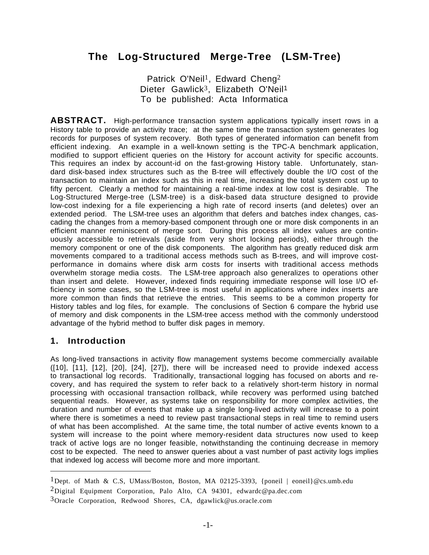# **The Log-Structured Merge-Tree (LSM-Tree)**

Patrick O'Neil<sup>1</sup>, Edward Cheng<sup>2</sup> Dieter Gawlick3, Elizabeth O'Neil1 To be published: Acta Informatica

**ABSTRACT.** High-performance transaction system applications typically insert rows in a History table to provide an activity trace; at the same time the transaction system generates log records for purposes of system recovery. Both types of generated information can benefit from efficient indexing. An example in a well-known setting is the TPC-A benchmark application, modified to support efficient queries on the History for account activity for specific accounts. This requires an index by account-id on the fast-growing History table. Unfortunately, standard disk-based index structures such as the B-tree will effectively double the I/O cost of the transaction to maintain an index such as this in real time, increasing the total system cost up to fifty percent. Clearly a method for maintaining a real-time index at low cost is desirable. The Log-Structured Merge-tree (LSM-tree) is a disk-based data structure designed to provide low-cost indexing for a file experiencing a high rate of record inserts (and deletes) over an extended period. The LSM-tree uses an algorithm that defers and batches index changes, cascading the changes from a memory-based component through one or more disk components in an efficient manner reminiscent of merge sort. During this process all index values are continuously accessible to retrievals (aside from very short locking periods), either through the memory component or one of the disk components. The algorithm has greatly reduced disk arm movements compared to a traditional access methods such as B-trees, and will improve costperformance in domains where disk arm costs for inserts with traditional access methods overwhelm storage media costs. The LSM-tree approach also generalizes to operations other than insert and delete. However, indexed finds requiring immediate response will lose I/O efficiency in some cases, so the LSM-tree is most useful in applications where index inserts are more common than finds that retrieve the entries. This seems to be a common property for History tables and log files, for example. The conclusions of Section 6 compare the hybrid use of memory and disk components in the LSM-tree access method with the commonly understood advantage of the hybrid method to buffer disk pages in memory.

## **1. Introduction**

As long-lived transactions in activity flow management systems become commercially available ([10], [11], [12], [20], [24], [27]), there will be increased need to provide indexed access to transactional log records. Traditionally, transactional logging has focused on aborts and recovery, and has required the system to refer back to a relatively short-term history in normal processing with occasional transaction rollback, while recovery was performed using batched sequential reads. However, as systems take on responsibility for more complex activities, the duration and number of events that make up a single long-lived activity will increase to a point where there is sometimes a need to review past transactional steps in real time to remind users of what has been accomplished. At the same time, the total number of active events known to a system will increase to the point where memory-resident data structures now used to keep track of active logs are no longer feasible, notwithstanding the continuing decrease in memory cost to be expected. The need to answer queries about a vast number of past activity logs implies that indexed log access will become more and more important.

<sup>&</sup>lt;sup>1</sup>Dept. of Math & C.S, UMass/Boston, Boston, MA 02125-3393, {poneil | eoneil}@cs.umb.edu

<sup>&</sup>lt;sup>2</sup>Digital Equipment Corporation, Palo Alto, CA 94301, edwardc@pa.dec.com

<sup>3</sup>Oracle Corporation, Redwood Shores, CA, dgawlick@us.oracle.com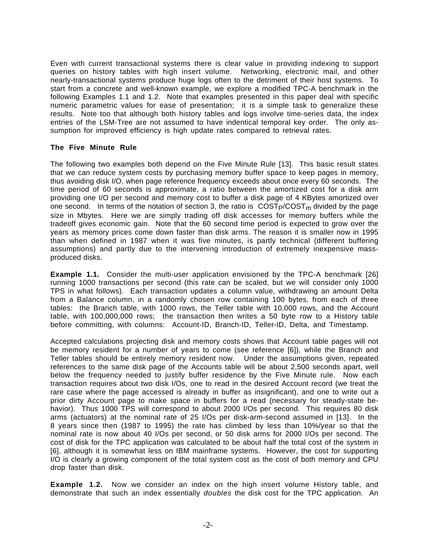Even with current transactional systems there is clear value in providing indexing to support queries on history tables with high insert volume. Networking, electronic mail, and other nearly-transactional systems produce huge logs often to the detriment of their host systems. To start from a concrete and well-known example, we explore a modified TPC-A benchmark in the following Examples 1.1 and 1.2. Note that examples presented in this paper deal with specific numeric parametric values for ease of presentation; it is a simple task to generalize these results. Note too that although both history tables and logs involve time-series data, the index entries of the LSM-Tree are not assumed to have indentical temporal key order. The only assumption for improved efficiency is high update rates compared to retrieval rates.

#### **The Five Minute Rule**

The following two examples both depend on the Five Minute Rule [13]. This basic result states that we can reduce system costs by purchasing memory buffer space to keep pages in memory, thus avoiding disk I/O, when page reference frequency exceeds about once every 60 seconds. The time period of 60 seconds is approximate, a ratio between the amortized cost for a disk arm providing one I/O per second and memory cost to buffer a disk page of 4 KBytes amortized over one second. In terms of the notation of section 3, the ratio is  $COST<sub>p</sub>/COST<sub>m</sub>$  divided by the page size in Mbytes. Here we are simply trading off disk accesses for memory buffers while the tradeoff gives economic gain. Note that the 60 second time period is expected to grow over the years as memory prices come down faster than disk arms. The reason it is smaller now in 1995 than when defined in 1987 when it was five minutes, is partly technical (different buffering assumptions) and partly due to the intervening introduction of extremely inexpensive massproduced disks.

**Example 1.1.** Consider the multi-user application envisioned by the TPC-A benchmark [26] running 1000 transactions per second (this rate can be scaled, but we will consider only 1000 TPS in what follows). Each transaction updates a column value, withdrawing an amount Delta from a Balance column, in a randomly chosen row containing 100 bytes, from each of three tables: the Branch table, with 1000 rows, the Teller table with 10,000 rows, and the Account table, with 100,000,000 rows; the transaction then writes a 50 byte row to a History table before committing, with columns: Account-ID, Branch-ID, Teller-ID, Delta, and Timestamp.

Accepted calculations projecting disk and memory costs shows that Account table pages will not be memory resident for a number of years to come (see reference [6]), while the Branch and Teller tables should be entirely memory resident now. Under the assumptions given, repeated references to the same disk page of the Accounts table will be about 2,500 seconds apart, well below the frequency needed to justify buffer residence by the Five Minute rule. Now each transaction requires about two disk I/Os, one to read in the desired Account record (we treat the rare case where the page accessed is already in buffer as insignificant), and one to write out a prior dirty Account page to make space in buffers for a read (necessary for steady-state behavior). Thus 1000 TPS will correspond to about 2000 I/Os per second. This requires 80 disk arms (actuators) at the nominal rate of 25 I/Os per disk-arm-second assumed in [13]. In the 8 years since then (1987 to 1995) the rate has climbed by less than 10%/year so that the nominal rate is now about 40 I/Os per second, or 50 disk arms for 2000 I/Os per second. The cost of disk for the TPC application was calculated to be about half the total cost of the system in [6], although it is somewhat less on IBM mainframe systems. However, the cost for supporting I/O is clearly a growing component of the total system cost as the cost of both memory and CPU drop faster than disk.

**Example 1.2.** Now we consider an index on the high insert volume History table, and demonstrate that such an index essentially doubles the disk cost for the TPC application. An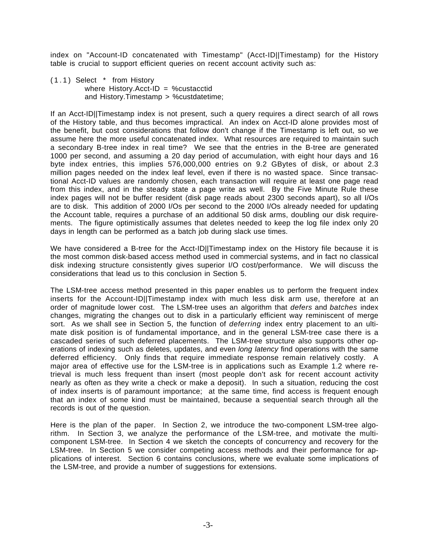index on "Account-ID concatenated with Timestamp" (Acct-ID||Timestamp) for the History table is crucial to support efficient queries on recent account activity such as:

(1.1) Select \* from History where History.Acct-ID =  $%$ custacctid and History.Timestamp > %custdatetime;

If an Acct-ID||Timestamp index is not present, such a query requires a direct search of all rows of the History table, and thus becomes impractical. An index on Acct-ID alone provides most of the benefit, but cost considerations that follow don't change if the Timestamp is left out, so we assume here the more useful concatenated index. What resources are required to maintain such a secondary B-tree index in real time? We see that the entries in the B-tree are generated 1000 per second, and assuming a 20 day period of accumulation, with eight hour days and 16 byte index entries, this implies 576,000,000 entries on 9.2 GBytes of disk, or about 2.3 million pages needed on the index leaf level, even if there is no wasted space. Since transactional Acct-ID values are randomly chosen, each transaction will require at least one page read from this index, and in the steady state a page write as well. By the Five Minute Rule these index pages will not be buffer resident (disk page reads about 2300 seconds apart), so all I/Os are to disk. This addition of 2000 I/Os per second to the 2000 I/Os already needed for updating the Account table, requires a purchase of an additional 50 disk arms, doubling our disk requirements. The figure optimistically assumes that deletes needed to keep the log file index only 20 days in length can be performed as a batch job during slack use times.

We have considered a B-tree for the Acct-ID||Timestamp index on the History file because it is the most common disk-based access method used in commercial systems, and in fact no classical disk indexing structure consistently gives superior I/O cost/performance. We will discuss the considerations that lead us to this conclusion in Section 5.

The LSM-tree access method presented in this paper enables us to perform the frequent index inserts for the Account-ID||Timestamp index with much less disk arm use, therefore at an order of magnitude lower cost. The LSM-tree uses an algorithm that defers and batches index changes, migrating the changes out to disk in a particularly efficient way reminiscent of merge sort. As we shall see in Section 5, the function of *deferring* index entry placement to an ultimate disk position is of fundamental importance, and in the general LSM-tree case there is a cascaded series of such deferred placements. The LSM-tree structure also supports other operations of indexing such as deletes, updates, and even *long latency* find operations with the same deferred efficiency. Only finds that require immediate response remain relatively costly. A major area of effective use for the LSM-tree is in applications such as Example 1.2 where retrieval is much less frequent than insert (most people don't ask for recent account activity nearly as often as they write a check or make a deposit). In such a situation, reducing the cost of index inserts is of paramount importance; at the same time, find access is frequent enough that an index of some kind must be maintained, because a sequential search through all the records is out of the question.

Here is the plan of the paper. In Section 2, we introduce the two-component LSM-tree algorithm. In Section 3, we analyze the performance of the LSM-tree, and motivate the multicomponent LSM-tree. In Section 4 we sketch the concepts of concurrency and recovery for the LSM-tree. In Section 5 we consider competing access methods and their performance for applications of interest. Section 6 contains conclusions, where we evaluate some implications of the LSM-tree, and provide a number of suggestions for extensions.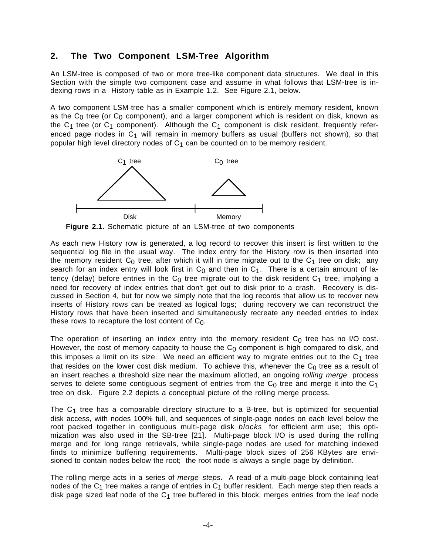### **2. The Two Component LSM-Tree Algorithm**

An LSM-tree is composed of two or more tree-like component data structures. We deal in this Section with the simple two component case and assume in what follows that LSM-tree is indexing rows in a History table as in Example 1.2. See Figure 2.1, below.

A two component LSM-tree has a smaller component which is entirely memory resident, known as the  $C_0$  tree (or  $C_0$  component), and a larger component which is resident on disk, known as the  $C_1$  tree (or  $C_1$  component). Although the  $C_1$  component is disk resident, frequently referenced page nodes in  $C_1$  will remain in memory buffers as usual (buffers not shown), so that popular high level directory nodes of  $C_1$  can be counted on to be memory resident.



**Figure 2.1.** Schematic picture of an LSM-tree of two components

As each new History row is generated, a log record to recover this insert is first written to the sequential log file in the usual way. The index entry for the History row is then inserted into the memory resident  $C_0$  tree, after which it will in time migrate out to the  $C_1$  tree on disk; any search for an index entry will look first in  $C_0$  and then in  $C_1$ . There is a certain amount of latency (delay) before entries in the  $C_0$  tree migrate out to the disk resident  $C_1$  tree, implying a need for recovery of index entries that don't get out to disk prior to a crash. Recovery is discussed in Section 4, but for now we simply note that the log records that allow us to recover new inserts of History rows can be treated as logical logs; during recovery we can reconstruct the History rows that have been inserted and simultaneously recreate any needed entries to index these rows to recapture the lost content of  $C_0$ .

The operation of inserting an index entry into the memory resident  $C_0$  tree has no I/O cost. However, the cost of memory capacity to house the  $C_0$  component is high compared to disk, and this imposes a limit on its size. We need an efficient way to migrate entries out to the  $C_1$  tree that resides on the lower cost disk medium. To achieve this, whenever the  $C_0$  tree as a result of an insert reaches a threshold size near the maximum allotted, an ongoing rolling merge process serves to delete some contiguous segment of entries from the  $C_0$  tree and merge it into the  $C_1$ tree on disk. Figure 2.2 depicts a conceptual picture of the rolling merge process.

The  $C_1$  tree has a comparable directory structure to a B-tree, but is optimized for sequential disk access, with nodes 100% full, and sequences of single-page nodes on each level below the root packed together in contiguous multi-page disk *blocks* for efficient arm use; this optimization was also used in the SB-tree [21]. Multi-page block I/O is used during the rolling merge and for long range retrievals, while single-page nodes are used for matching indexed finds to minimize buffering requirements. Multi-page block sizes of 256 KBytes are envisioned to contain nodes below the root; the root node is always a single page by definition.

The rolling merge acts in a series of *merge steps*. A read of a multi-page block containing leaf nodes of the  $C_1$  tree makes a range of entries in  $C_1$  buffer resident. Each merge step then reads a disk page sized leaf node of the  $C_1$  tree buffered in this block, merges entries from the leaf node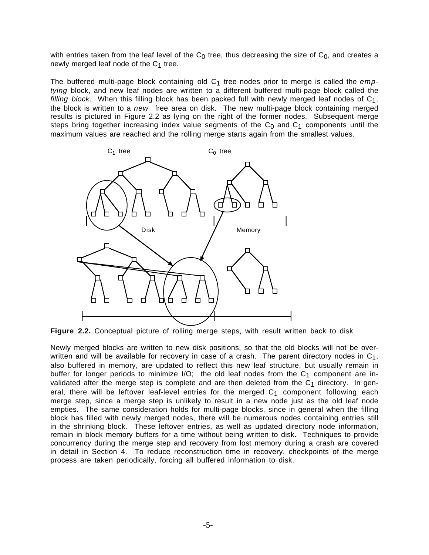with entries taken from the leaf level of the  $C_0$  tree, thus decreasing the size of  $C_0$ , and creates a newly merged leaf node of the  $C_1$  tree.

The buffered multi-page block containing old  $C_1$  tree nodes prior to merge is called the emptying block, and new leaf nodes are written to a different buffered multi-page block called the filling block. When this filling block has been packed full with newly merged leaf nodes of  $C_1$ , the block is written to a new free area on disk. The new multi-page block containing merged results is pictured in Figure 2.2 as lying on the right of the former nodes. Subsequent merge steps bring together increasing index value segments of the  $C_0$  and  $C_1$  components until the maximum values are reached and the rolling merge starts again from the smallest values.



**Figure 2.2.** Conceptual picture of rolling merge steps, with result written back to disk

Newly merged blocks are written to new disk positions, so that the old blocks will not be overwritten and will be available for recovery in case of a crash. The parent directory nodes in  $C_1$ , also buffered in memory, are updated to reflect this new leaf structure, but usually remain in buffer for longer periods to minimize I/O; the old leaf nodes from the  $C_1$  component are invalidated after the merge step is complete and are then deleted from the  $C_1$  directory. In general, there will be leftover leaf-level entries for the merged  $C_1$  component following each merge step, since a merge step is unlikely to result in a new node just as the old leaf node empties. The same consideration holds for multi-page blocks, since in general when the filling block has filled with newly merged nodes, there will be numerous nodes containing entries still in the shrinking block. These leftover entries, as well as updated directory node information, remain in block memory buffers for a time without being written to disk. Techniques to provide concurrency during the merge step and recovery from lost memory during a crash are covered in detail in Section 4. To reduce reconstruction time in recovery, checkpoints of the merge process are taken periodically, forcing all buffered information to disk.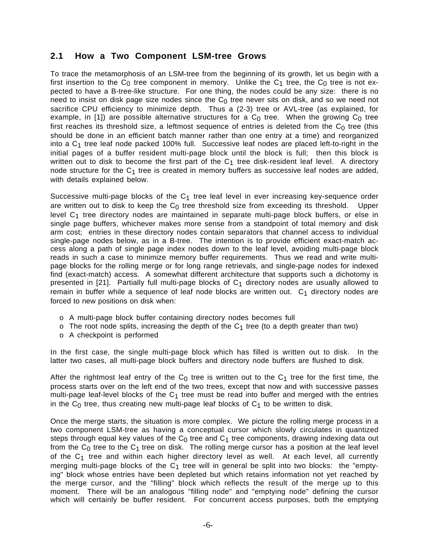### **2.1 How a Two Component LSM-tree Grows**

To trace the metamorphosis of an LSM-tree from the beginning of its growth, let us begin with a first insertion to the  $C_0$  tree component in memory. Unlike the  $C_1$  tree, the  $C_0$  tree is not expected to have a B-tree-like structure. For one thing, the nodes could be any size: there is no need to insist on disk page size nodes since the  $C_0$  tree never sits on disk, and so we need not sacrifice CPU efficiency to minimize depth. Thus a (2-3) tree or AVL-tree (as explained, for example, in [1]) are possible alternative structures for a  $C_0$  tree. When the growing  $C_0$  tree first reaches its threshold size, a leftmost sequence of entries is deleted from the  $C_0$  tree (this should be done in an efficient batch manner rather than one entry at a time) and reorganized into a  $C_1$  tree leaf node packed 100% full. Successive leaf nodes are placed left-to-right in the initial pages of a buffer resident multi-page block until the block is full; then this block is written out to disk to become the first part of the  $C_1$  tree disk-resident leaf level. A directory node structure for the  $C_1$  tree is created in memory buffers as successive leaf nodes are added, with details explained below.

Successive multi-page blocks of the  $C_1$  tree leaf level in ever increasing key-sequence order are written out to disk to keep the  $C_0$  tree threshold size from exceeding its threshold. Upper level C<sub>1</sub> tree directory nodes are maintained in separate multi-page block buffers, or else in single page buffers, whichever makes more sense from a standpoint of total memory and disk arm cost; entries in these directory nodes contain separators that channel access to individual single-page nodes below, as in a B-tree. The intention is to provide efficient exact-match access along a path of single page index nodes down to the leaf level, avoiding multi-page block reads in such a case to minimize memory buffer requirements. Thus we read and write multipage blocks for the rolling merge or for long range retrievals, and single-page nodes for indexed find (exact-match) access. A somewhat different architecture that supports such a dichotomy is presented in [21]. Partially full multi-page blocks of  $C_1$  directory nodes are usually allowed to remain in buffer while a sequence of leaf node blocks are written out.  $C_1$  directory nodes are forced to new positions on disk when:

- o A multi-page block buffer containing directory nodes becomes full
- o The root node splits, increasing the depth of the  $C_1$  tree (to a depth greater than two)
- o A checkpoint is performed

In the first case, the single multi-page block which has filled is written out to disk. In the latter two cases, all multi-page block buffers and directory node buffers are flushed to disk.

After the rightmost leaf entry of the C<sub>0</sub> tree is written out to the C<sub>1</sub> tree for the first time, the process starts over on the left end of the two trees, except that now and with successive passes multi-page leaf-level blocks of the  $C_1$  tree must be read into buffer and merged with the entries in the  $C_0$  tree, thus creating new multi-page leaf blocks of  $C_1$  to be written to disk.

Once the merge starts, the situation is more complex. We picture the rolling merge process in a two component LSM-tree as having a conceptual cursor which slowly circulates in quantized steps through equal key values of the  $C_0$  tree and  $C_1$  tree components, drawing indexing data out from the  $C_0$  tree to the  $C_1$  tree on disk. The rolling merge cursor has a position at the leaf level of the  $C_1$  tree and within each higher directory level as well. At each level, all currently merging multi-page blocks of the  $C_1$  tree will in general be split into two blocks: the "emptying" block whose entries have been depleted but which retains information not yet reached by the merge cursor, and the "filling" block which reflects the result of the merge up to this moment. There will be an analogous "filling node" and "emptying node" defining the cursor which will certainly be buffer resident. For concurrent access purposes, both the emptying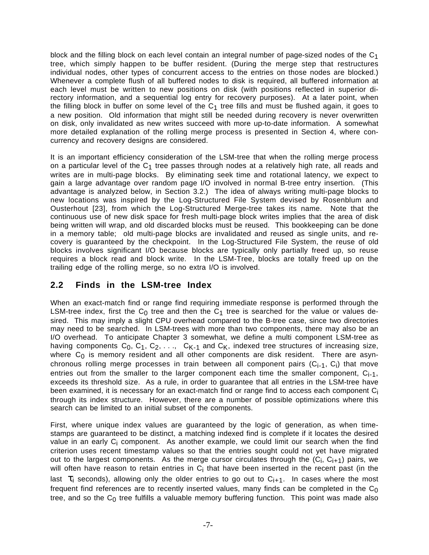block and the filling block on each level contain an integral number of page-sized nodes of the C1 tree, which simply happen to be buffer resident. (During the merge step that restructures individual nodes, other types of concurrent access to the entries on those nodes are blocked.) Whenever a complete flush of all buffered nodes to disk is required, all buffered information at each level must be written to new positions on disk (with positions reflected in superior directory information, and a sequential log entry for recovery purposes). At a later point, when the filling block in buffer on some level of the  $C_1$  tree fills and must be flushed again, it goes to a new position. Old information that might still be needed during recovery is never overwritten on disk, only invalidated as new writes succeed with more up-to-date information. A somewhat more detailed explanation of the rolling merge process is presented in Section 4, where concurrency and recovery designs are considered.

It is an important efficiency consideration of the LSM-tree that when the rolling merge process on a particular level of the  $C_1$  tree passes through nodes at a relatively high rate, all reads and writes are in multi-page blocks. By eliminating seek time and rotational latency, we expect to gain a large advantage over random page I/O involved in normal B-tree entry insertion. (This advantage is analyzed below, in Section 3.2.) The idea of always writing multi-page blocks to new locations was inspired by the Log-Structured File System devised by Rosenblum and Ousterhout [23], from which the Log-Structured Merge-tree takes its name. Note that the continuous use of new disk space for fresh multi-page block writes implies that the area of disk being written will wrap, and old discarded blocks must be reused. This bookkeeping can be done in a memory table; old multi-page blocks are invalidated and reused as single units, and recovery is guaranteed by the checkpoint. In the Log-Structured File System, the reuse of old blocks involves significant I/O because blocks are typically only partially freed up, so reuse requires a block read and block write. In the LSM-Tree, blocks are totally freed up on the trailing edge of the rolling merge, so no extra I/O is involved.

## **2.2 Finds in the LSM-tree Index**

When an exact-match find or range find requiring immediate response is performed through the LSM-tree index, first the  $C_0$  tree and then the  $C_1$  tree is searched for the value or values desired. This may imply a slight CPU overhead compared to the B-tree case, since two directories may need to be searched. In LSM-trees with more than two components, there may also be an I/O overhead. To anticipate Chapter 3 somewhat, we define a multi component LSM-tree as having components  $C_0$ ,  $C_1$ ,  $C_2$ , ...,  $C_{K-1}$  and  $C_K$ , indexed tree structures of increasing size, where  $C_0$  is memory resident and all other components are disk resident. There are asynchronous rolling merge processes in train between all component pairs (C<sub>i-1</sub>, C<sub>i</sub>) that move entries out from the smaller to the larger component each time the smaller component,  $C_{i-1}$ , exceeds its threshold size. As a rule, in order to guarantee that all entries in the LSM-tree have been examined, it is necessary for an exact-match find or range find to access each component Ci through its index structure. However, there are a number of possible optimizations where this search can be limited to an initial subset of the components.

First, where unique index values are guaranteed by the logic of generation, as when timestamps are guaranteed to be distinct, a matching indexed find is complete if it locates the desired value in an early C<sub>i</sub> component. As another example, we could limit our search when the find criterion uses recent timestamp values so that the entries sought could not yet have migrated out to the largest components. As the merge cursor circulates through the (C<sub>i</sub>, C<sub>i+1</sub>) pairs, we will often have reason to retain entries in  $C_i$  that have been inserted in the recent past (in the last  $\tau_i$  seconds), allowing only the older entries to go out to  $C_{i+1}$ . In cases where the most frequent find references are to recently inserted values, many finds can be completed in the  $C_0$ tree, and so the  $C_0$  tree fulfills a valuable memory buffering function. This point was made also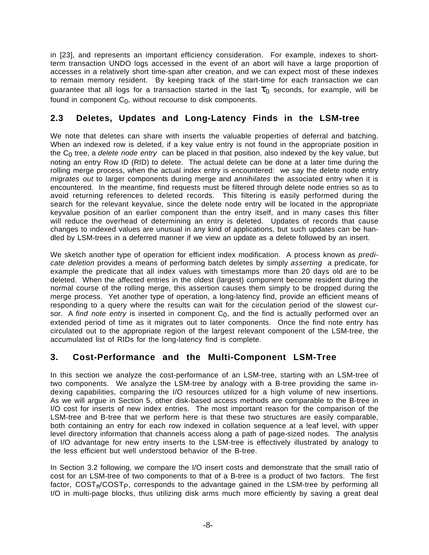in [23], and represents an important efficiency consideration. For example, indexes to shortterm transaction UNDO logs accessed in the event of an abort will have a large proportion of accesses in a relatively short time-span after creation, and we can expect most of these indexes to remain memory resident. By keeping track of the start-time for each transaction we can guarantee that all logs for a transaction started in the last  $\tau_0$  seconds, for example, will be found in component  $C_0$ , without recourse to disk components.

## **2.3 Deletes, Updates and Long-Latency Finds in the LSM-tree**

We note that deletes can share with inserts the valuable properties of deferral and batching. When an indexed row is deleted, if a key value entry is not found in the appropriate position in the  $C_0$  tree, a delete node entry can be placed in that position, also indexed by the key value, but noting an entry Row ID (RID) to delete. The actual delete can be done at a later time during the rolling merge process, when the actual index entry is encountered: we say the delete node entry migrates out to larger components during merge and annihilates the associated entry when it is encountered. In the meantime, find requests must be filtered through delete node entries so as to avoid returning references to deleted records. This filtering is easily performed during the search for the relevant keyvalue, since the delete node entry will be located in the appropriate keyvalue position of an earlier component than the entry itself, and in many cases this filter will reduce the overhead of determining an entry is deleted. Updates of records that cause changes to indexed values are unusual in any kind of applications, but such updates can be handled by LSM-trees in a deferred manner if we view an update as a delete followed by an insert.

We sketch another type of operation for efficient index modification. A process known as predicate deletion provides a means of performing batch deletes by simply asserting a predicate, for example the predicate that all index values with timestamps more than 20 days old are to be deleted. When the affected entries in the oldest (largest) component become resident during the normal course of the rolling merge, this assertion causes them simply to be dropped during the merge process. Yet another type of operation, a long-latency find, provide an efficient means of responding to a query where the results can wait for the circulation period of the slowest cursor. A find note entry is inserted in component  $C_0$ , and the find is actually performed over an extended period of time as it migrates out to later components. Once the find note entry has circulated out to the appropriate region of the largest relevant component of the LSM-tree, the accumulated list of RIDs for the long-latency find is complete.

## **3. Cost-Performance and the Multi-Component LSM-Tree**

In this section we analyze the cost-performance of an LSM-tree, starting with an LSM-tree of two components. We analyze the LSM-tree by analogy with a B-tree providing the same indexing capabilities, comparing the I/O resources utilized for a high volume of new insertions. As we will argue in Section 5, other disk-based access methods are comparable to the B-tree in I/O cost for inserts of new index entries. The most important reason for the comparison of the LSM-tree and B-tree that we perform here is that these two structures are easily comparable, both containing an entry for each row indexed in collation sequence at a leaf level, with upper level directory information that channels access along a path of page-sized nodes. The analysis of I/O advantage for new entry inserts to the LSM-tree is effectively illustrated by analogy to the less efficient but well understood behavior of the B-tree.

In Section 3.2 following, we compare the I/O insert costs and demonstrate that the small ratio of cost for an LSM-tree of two components to that of a B-tree is a product of two factors. The first factor,  $COST_{\pi}/COST_{P}$ , corresponds to the advantage gained in the LSM-tree by performing all I/O in multi-page blocks, thus utilizing disk arms much more efficiently by saving a great deal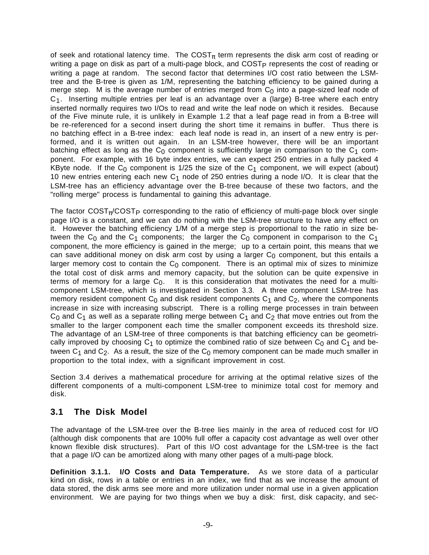of seek and rotational latency time. The COST $_{\pi}$  term represents the disk arm cost of reading or writing a page on disk as part of a multi-page block, and COST<sub>P</sub> represents the cost of reading or writing a page at random. The second factor that determines I/O cost ratio between the LSMtree and the B-tree is given as 1/M, representing the batching efficiency to be gained during a merge step. M is the average number of entries merged from  $C_0$  into a page-sized leaf node of  $C_1$ . Inserting multiple entries per leaf is an advantage over a (large) B-tree where each entry inserted normally requires two I/Os to read and write the leaf node on which it resides. Because of the Five minute rule, it is unlikely in Example 1.2 that a leaf page read in from a B-tree will be re-referenced for a second insert during the short time it remains in buffer. Thus there is no batching effect in a B-tree index: each leaf node is read in, an insert of a new entry is performed, and it is written out again. In an LSM-tree however, there will be an important batching effect as long as the  $C_0$  component is sufficiently large in comparison to the  $C_1$  component. For example, with 16 byte index entries, we can expect 250 entries in a fully packed 4 KByte node. If the  $C_0$  component is 1/25 the size of the  $C_1$  component, we will expect (about) 10 new entries entering each new  $C_1$  node of 250 entries during a node I/O. It is clear that the LSM-tree has an efficiency advantage over the B-tree because of these two factors, and the "rolling merge" process is fundamental to gaining this advantage.

The factor  $COST<sub>\pi</sub>/COST<sub>P</sub>$  corresponding to the ratio of efficiency of multi-page block over single page I/O is a constant, and we can do nothing with the LSM-tree structure to have any effect on it. However the batching efficiency 1/M of a merge step is proportional to the ratio in size between the  $C_0$  and the  $C_1$  components; the larger the  $C_0$  component in comparison to the  $C_1$ component, the more efficiency is gained in the merge; up to a certain point, this means that we can save additional money on disk arm cost by using a larger  $C_0$  component, but this entails a larger memory cost to contain the  $C_0$  component. There is an optimal mix of sizes to minimize the total cost of disk arms and memory capacity, but the solution can be quite expensive in terms of memory for a large  $C_0$ . It is this consideration that motivates the need for a multicomponent LSM-tree, which is investigated in Section 3.3. A three component LSM-tree has memory resident component  $C_0$  and disk resident components  $C_1$  and  $C_2$ , where the components increase in size with increasing subscript. There is a rolling merge processes in train between  $C_0$  and  $C_1$  as well as a separate rolling merge between  $C_1$  and  $C_2$  that move entries out from the smaller to the larger component each time the smaller component exceeds its threshold size. The advantage of an LSM-tree of three components is that batching efficiency can be geometrically improved by choosing  $C_1$  to optimize the combined ratio of size between  $C_0$  and  $C_1$  and between  $C_1$  and  $C_2$ . As a result, the size of the  $C_0$  memory component can be made much smaller in proportion to the total index, with a significant improvement in cost.

Section 3.4 derives a mathematical procedure for arriving at the optimal relative sizes of the different components of a multi-component LSM-tree to minimize total cost for memory and disk.

## **3.1 The Disk Model**

The advantage of the LSM-tree over the B-tree lies mainly in the area of reduced cost for I/O (although disk components that are 100% full offer a capacity cost advantage as well over other known flexible disk structures). Part of this I/O cost advantage for the LSM-tree is the fact that a page I/O can be amortized along with many other pages of a multi-page block.

**Definition 3.1.1. I/O Costs and Data Temperature.** As we store data of a particular kind on disk, rows in a table or entries in an index, we find that as we increase the amount of data stored, the disk arms see more and more utilization under normal use in a given application environment. We are paying for two things when we buy a disk: first, disk capacity, and sec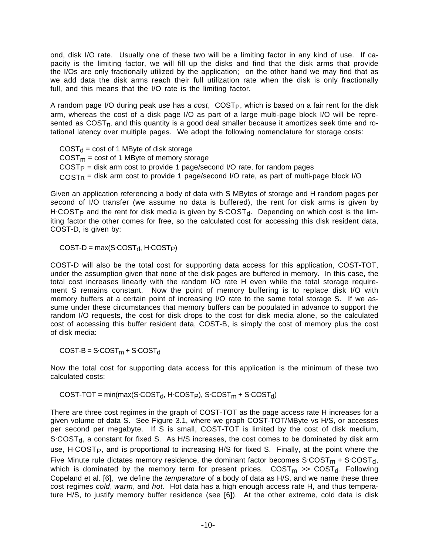ond, disk I/O rate. Usually one of these two will be a limiting factor in any kind of use. If capacity is the limiting factor, we will fill up the disks and find that the disk arms that provide the I/Os are only fractionally utilized by the application; on the other hand we may find that as we add data the disk arms reach their full utilization rate when the disk is only fractionally full, and this means that the I/O rate is the limiting factor.

A random page I/O during peak use has a cost, COSTP, which is based on a fair rent for the disk arm, whereas the cost of a disk page I/O as part of a large multi-page block I/O will be represented as  $COST_{\pi}$ , and this quantity is a good deal smaller because it amortizes seek time and rotational latency over multiple pages. We adopt the following nomenclature for storage costs:

 $COST<sub>d</sub> = cost of 1 MByte of disk storage$  $COST<sub>m</sub> = cost of 1 MByte of memory storage$  $COST<sub>P</sub>$  = disk arm cost to provide 1 page/second I/O rate, for random pages  $COST_\pi$  = disk arm cost to provide 1 page/second I/O rate, as part of multi-page block I/O

Given an application referencing a body of data with S MBytes of storage and H random pages per second of I/O transfer (we assume no data is buffered), the rent for disk arms is given by H.COST<sub>P</sub> and the rent for disk media is given by S.COST<sub>d</sub>. Depending on which cost is the limiting factor the other comes for free, so the calculated cost for accessing this disk resident data, COST-D, is given by:

 $COST-D = max(S \cdot COST_{d}, H \cdot COST_{P})$ 

COST-D will also be the total cost for supporting data access for this application, COST-TOT, under the assumption given that none of the disk pages are buffered in memory. In this case, the total cost increases linearly with the random I/O rate H even while the total storage requirement S remains constant. Now the point of memory buffering is to replace disk I/O with memory buffers at a certain point of increasing I/O rate to the same total storage S. If we assume under these circumstances that memory buffers can be populated in advance to support the random I/O requests, the cost for disk drops to the cost for disk media alone, so the calculated cost of accessing this buffer resident data, COST-B, is simply the cost of memory plus the cost of disk media:

 $COST-B = S \cdot COST<sub>m</sub> + S \cdot COST<sub>d</sub>$ 

Now the total cost for supporting data access for this application is the minimum of these two calculated costs:

 $COST-TOT = min(max(S-COST<sub>d</sub>, H-COST<sub>P</sub>), S-COST<sub>m</sub> + S-COST<sub>d</sub>)$ 

There are three cost regimes in the graph of COST-TOT as the page access rate H increases for a given volume of data S. See Figure 3.1, where we graph COST-TOT/MByte vs H/S, or accesses per second per megabyte. If S is small, COST-TOT is limited by the cost of disk medium,  $S$  COST<sub>d</sub>, a constant for fixed S. As H/S increases, the cost comes to be dominated by disk arm use, H.COSTP, and is proportional to increasing H/S for fixed S. Finally, at the point where the Five Minute rule dictates memory residence, the dominant factor becomes  $S\text{-COST}_{m}$  +  $S\text{-COST}_{d}$ , which is dominated by the memory term for present prices,  $COST_m \gg COST_d$ . Following Copeland et al. [6], we define the temperature of a body of data as H/S, and we name these three cost regimes cold, warm, and hot. Hot data has a high enough access rate H, and thus temperature H/S, to justify memory buffer residence (see [6]). At the other extreme, cold data is disk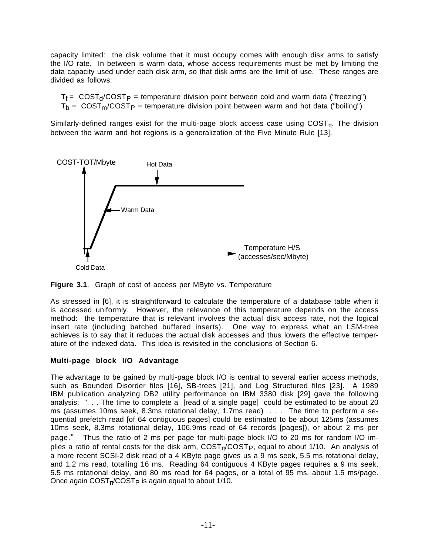capacity limited: the disk volume that it must occupy comes with enough disk arms to satisfy the I/O rate. In between is warm data, whose access requirements must be met by limiting the data capacity used under each disk arm, so that disk arms are the limit of use. These ranges are divided as follows:

 $T_f = COST_d/COST_P = temperature$  division point between cold and warm data ("freezing")  $T_b$  = COST<sub>m</sub>/COST<sub>P</sub> = temperature division point between warm and hot data ("boiling")

Similarly-defined ranges exist for the multi-page block access case using  $COST_{\pi}$ . The division between the warm and hot regions is a generalization of the Five Minute Rule [13].



**Figure 3.1**. Graph of cost of access per MByte vs. Temperature

As stressed in [6], it is straightforward to calculate the temperature of a database table when it is accessed uniformly. However, the relevance of this temperature depends on the access method: the temperature that is relevant involves the actual disk access rate, not the logical insert rate (including batched buffered inserts). One way to express what an LSM-tree achieves is to say that it reduces the actual disk accesses and thus lowers the effective temperature of the indexed data. This idea is revisited in the conclusions of Section 6.

#### **Multi-page block I/O Advantage**

The advantage to be gained by multi-page block I/O is central to several earlier access methods, such as Bounded Disorder files [16], SB-trees [21], and Log Structured files [23]. A 1989 IBM publication analyzing DB2 utility performance on IBM 3380 disk [29] gave the following analysis: ". . . The time to complete a [read of a single page] could be estimated to be about 20 ms (assumes 10ms seek, 8.3ms rotational delay, 1.7ms read) . . . The time to perform a sequential prefetch read [of 64 contiguous pages] could be estimated to be about 125ms (assumes 10ms seek, 8.3ms rotational delay, 106.9ms read of 64 records [pages]), or about 2 ms per page." Thus the ratio of 2 ms per page for multi-page block I/O to 20 ms for random I/O implies a ratio of rental costs for the disk arm,  $COST<sub>\pi</sub>/COST<sub>P</sub>$ , equal to about 1/10. An analysis of a more recent SCSI-2 disk read of a 4 KByte page gives us a 9 ms seek, 5.5 ms rotational delay, and 1.2 ms read, totalling 16 ms. Reading 64 contiguous 4 KByte pages requires a 9 ms seek, 5.5 ms rotational delay, and 80 ms read for 64 pages, or a total of 95 ms, about 1.5 ms/page. Once again  $COST<sub>\pi</sub>/COST<sub>P</sub>$  is again equal to about 1/10.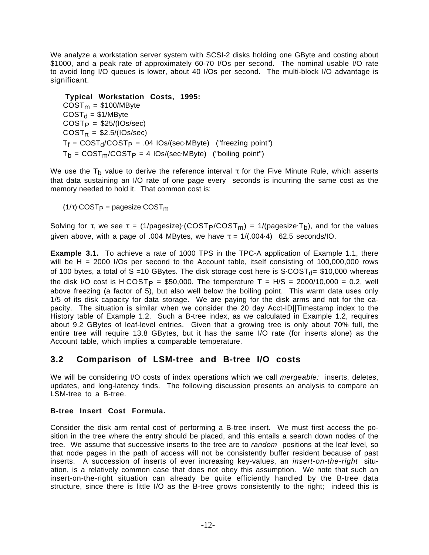We analyze a workstation server system with SCSI-2 disks holding one GByte and costing about \$1000, and a peak rate of approximately 60-70 I/Os per second. The nominal usable I/O rate to avoid long I/O queues is lower, about 40 I/Os per second. The multi-block I/O advantage is significant.

 **Typical Workstation Costs, 1995:**  $COST_m = $100/MByte$  $COST_{d} = $1/MByte$  $COST_P = $25/(IOS/sec)$  $COST_{\pi} = $2.5/(10s/sec)$  $T_f = COST_d/COST_P = .04$  IOs/(sec·MByte) ("freezing point")  $T_b = COST_m/COST_P = 4$  IOs/(sec·MByte) ("boiling point")

We use the T<sub>b</sub> value to derive the reference interval  $\tau$  for the Five Minute Rule, which asserts that data sustaining an I/O rate of one page every seconds is incurring the same cost as the memory needed to hold it. That common cost is:

(1/τ) COST<sub>P</sub> = pagesize COST<sub>m</sub>

Solving for  $\tau$ , we see  $\tau$  = (1/pagesize) (COST<sub>P</sub>/COST<sub>m</sub>) = 1/(pagesize T<sub>b</sub>), and for the values given above, with a page of .004 MBytes, we have  $\tau = 1/(0.004.4)$  62.5 seconds/IO.

**Example 3.1.** To achieve a rate of 1000 TPS in the TPC-A application of Example 1.1, there will be H = 2000 I/Os per second to the Account table, itself consisting of 100,000,000 rows of 100 bytes, a total of S = 10 GBytes. The disk storage cost here is  $S\text{-COST}_{d}$ = \$10,000 whereas the disk I/O cost is H·COST<sub>P</sub> = \$50,000. The temperature  $T = H/S = 2000/10,000 = 0.2$ , well above freezing (a factor of 5), but also well below the boiling point. This warm data uses only 1/5 of its disk capacity for data storage. We are paying for the disk arms and not for the capacity. The situation is similar when we consider the 20 day Acct-ID||Timestamp index to the History table of Example 1.2. Such a B-tree index, as we calculated in Example 1.2, requires about 9.2 GBytes of leaf-level entries. Given that a growing tree is only about 70% full, the entire tree will require 13.8 GBytes, but it has the same I/O rate (for inserts alone) as the Account table, which implies a comparable temperature.

### **3.2 Comparison of LSM-tree and B-tree I/O costs**

We will be considering I/O costs of index operations which we call *mergeable:* inserts, deletes, updates, and long-latency finds. The following discussion presents an analysis to compare an LSM-tree to a B-tree.

#### **B-tree Insert Cost Formula.**

Consider the disk arm rental cost of performing a B-tree insert. We must first access the position in the tree where the entry should be placed, and this entails a search down nodes of the tree. We assume that successive inserts to the tree are to random positions at the leaf level, so that node pages in the path of access will not be consistently buffer resident because of past inserts. A succession of inserts of ever increasing key-values, an *insert-on-the-right* situation, is a relatively common case that does not obey this assumption. We note that such an insert-on-the-right situation can already be quite efficiently handled by the B-tree data structure, since there is little I/O as the B-tree grows consistently to the right; indeed this is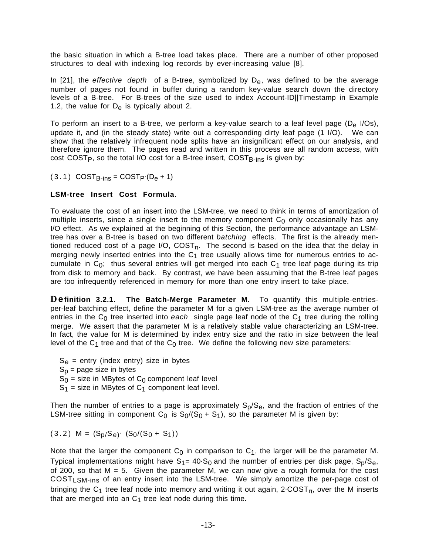the basic situation in which a B-tree load takes place. There are a number of other proposed structures to deal with indexing log records by ever-increasing value [8].

In [21], the effective depth of a B-tree, symbolized by  $D_e$ , was defined to be the average number of pages not found in buffer during a random key-value search down the directory levels of a B-tree. For B-trees of the size used to index Account-ID||Timestamp in Example 1.2, the value for  $D_e$  is typically about 2.

To perform an insert to a B-tree, we perform a key-value search to a leaf level page ( $D_e$  I/Os), update it, and (in the steady state) write out a corresponding dirty leaf page (1 I/O). We can show that the relatively infrequent node splits have an insignificant effect on our analysis, and therefore ignore them. The pages read and written in this process are all random access, with cost COST<sub>P</sub>, so the total I/O cost for a B-tree insert,  $COST<sub>B-ins</sub>$  is given by:

 $(3.1)$  COST<sub>B-ins</sub> = COST<sub>P</sub> $\cdot$ (D<sub>e</sub> + 1)

#### **LSM-tree Insert Cost Formula.**

To evaluate the cost of an insert into the LSM-tree, we need to think in terms of amortization of multiple inserts, since a single insert to the memory component  $C_0$  only occasionally has any I/O effect. As we explained at the beginning of this Section, the performance advantage an LSMtree has over a B-tree is based on two different batching effects. The first is the already mentioned reduced cost of a page I/O,  $COST_{\pi}$ . The second is based on the idea that the delay in merging newly inserted entries into the  $C_1$  tree usually allows time for numerous entries to accumulate in  $C_0$ ; thus several entries will get merged into each  $C_1$  tree leaf page during its trip from disk to memory and back. By contrast, we have been assuming that the B-tree leaf pages are too infrequently referenced in memory for more than one entry insert to take place.

**Definition 3.2.1. The Batch-Merge Parameter M.** To quantify this multiple-entriesper-leaf batching effect, define the parameter M for a given LSM-tree as the average number of entries in the  $C_0$  tree inserted into each single page leaf node of the  $C_1$  tree during the rolling merge. We assert that the parameter M is a relatively stable value characterizing an LSM-tree. In fact, the value for M is determined by index entry size and the ratio in size between the leaf level of the  $C_1$  tree and that of the  $C_0$  tree. We define the following new size parameters:

 $S_e$  = entry (index entry) size in bytes  $S_p$  = page size in bytes  $S_0$  = size in MBytes of C<sub>0</sub> component leaf level  $S_1$  = size in MBytes of C<sub>1</sub> component leaf level.

Then the number of entries to a page is approximately  $S_p/S_e$ , and the fraction of entries of the LSM-tree sitting in component C<sub>0</sub> is  $S_0/(S_0 + S_1)$ , so the parameter M is given by:

$$
(3.2)
$$
 M =  $(S_p/S_e) \cdot (S_0/(S_0 + S_1))$ 

Note that the larger the component  $C_0$  in comparison to  $C_1$ , the larger will be the parameter M. Typical implementations might have  $S_1$  = 40  $S_0$  and the number of entries per disk page,  $S_p/S_e$ , of 200, so that  $M = 5$ . Given the parameter M, we can now give a rough formula for the cost COSTLSM-ins of an entry insert into the LSM-tree. We simply amortize the per-page cost of bringing the C<sub>1</sub> tree leaf node into memory and writing it out again,  $2 \cdot COST_{\pi}$ , over the M inserts that are merged into an  $C_1$  tree leaf node during this time.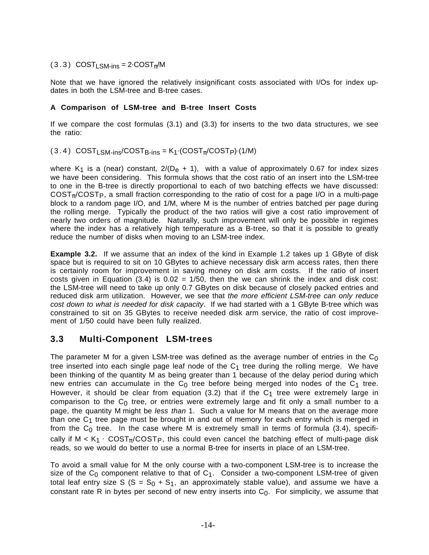### $(3.3)$  COST<sub>LSM-ins</sub> = 2.COST<sub> $\pi$ </sub>/M

Note that we have ignored the relatively insignificant costs associated with I/Os for index updates in both the LSM-tree and B-tree cases.

#### **A Comparison of LSM-tree and B-tree Insert Costs**

If we compare the cost formulas (3.1) and (3.3) for inserts to the two data structures, we see the ratio:

## $(3.4)$  COST<sub>LSM-ins</sub>/COST<sub>B-ins</sub> = K<sub>1</sub> (COST<sub> $\pi$ </sub>/COST<sub>P</sub>) (1/M)

where K<sub>1</sub> is a (near) constant,  $2/(D_e + 1)$ , with a value of approximately 0.67 for index sizes we have been considering. This formula shows that the cost ratio of an insert into the LSM-tree to one in the B-tree is directly proportional to each of two batching effects we have discussed:  $COST<sub>\pi</sub>/COST<sub>P</sub>$ , a small fraction corresponding to the ratio of cost for a page I/O in a multi-page block to a random page I/O, and 1/M, where M is the number of entries batched per page during the rolling merge. Typically the product of the two ratios will give a cost ratio improvement of nearly two orders of magnitude. Naturally, such improvement will only be possible in regimes where the index has a relatively high temperature as a B-tree, so that it is possible to greatly reduce the number of disks when moving to an LSM-tree index.

**Example 3.2.** If we assume that an index of the kind in Example 1.2 takes up 1 GByte of disk space but is required to sit on 10 GBytes to achieve necessary disk arm access rates, then there is certainly room for improvement in saving money on disk arm costs. If the ratio of insert costs given in Equation  $(3.4)$  is  $0.02 = 1/50$ , then the we can shrink the index and disk cost: the LSM-tree will need to take up only 0.7 GBytes on disk because of closely packed entries and reduced disk arm utilization. However, we see that the more efficient LSM-tree can only reduce cost down to what is needed for disk capacity. If we had started with a 1 GByte B-tree which was constrained to sit on 35 GBytes to receive needed disk arm service, the ratio of cost improvement of 1/50 could have been fully realized.

### **3.3 Multi-Component LSM-trees**

The parameter M for a given LSM-tree was defined as the average number of entries in the  $C_0$ tree inserted into each single page leaf node of the  $C_1$  tree during the rolling merge. We have been thinking of the quantity M as being greater than 1 because of the delay period during which new entries can accumulate in the  $C_0$  tree before being merged into nodes of the  $C_1$  tree. However, it should be clear from equation (3.2) that if the  $C_1$  tree were extremely large in comparison to the  $C_0$  tree, or entries were extremely large and fit only a small number to a page, the quantity M might be less than 1. Such a value for M means that on the average more than one  $C_1$  tree page must be brought in and out of memory for each entry which is merged in from the  $C_0$  tree. In the case where M is extremely small in terms of formula (3.4), specifically if  $M < K_1$  · COST $\pi$ /COST<sub>P</sub>, this could even cancel the batching effect of multi-page disk reads, so we would do better to use a normal B-tree for inserts in place of an LSM-tree.

To avoid a small value for M the only course with a two-component LSM-tree is to increase the size of the  $C_0$  component relative to that of  $C_1$ . Consider a two-component LSM-tree of given total leaf entry size S (S =  $S_0$  +  $S_1$ , an approximately stable value), and assume we have a constant rate R in bytes per second of new entry inserts into  $C_0$ . For simplicity, we assume that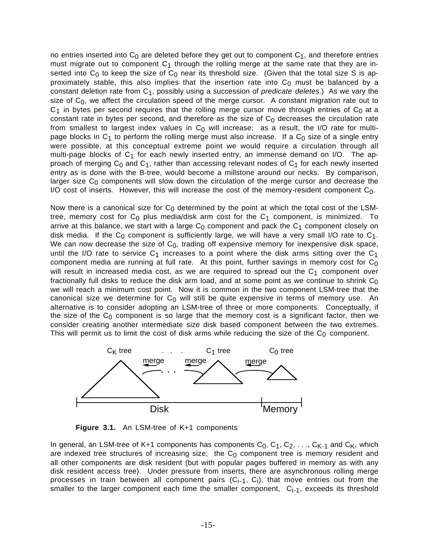no entries inserted into  $C_0$  are deleted before they get out to component  $C_1$ , and therefore entries must migrate out to component  $C_1$  through the rolling merge at the same rate that they are inserted into  $C_0$  to keep the size of  $C_0$  near its threshold size. (Given that the total size S is approximately stable, this also implies that the insertion rate into  $C_0$  must be balanced by a constant deletion rate from  $C_1$ , possibly using a succession of predicate deletes.) As we vary the size of  $C_0$ , we affect the circulation speed of the merge cursor. A constant migration rate out to  $C_1$  in bytes per second requires that the rolling merge cursor move through entries of  $C_0$  at a constant rate in bytes per second, and therefore as the size of  $C_0$  decreases the circulation rate from smallest to largest index values in  $C_0$  will increase; as a result, the I/O rate for multipage blocks in  $C_1$  to perform the rolling merge must also increase. If a  $C_0$  size of a single entry were possible, at this conceptual extreme point we would require a circulation through all multi-page blocks of  $C_1$  for each newly inserted entry, an immense demand on I/O. The approach of merging  $C_0$  and  $C_1$ , rather than accessing relevant nodes of  $C_1$  for each newly inserted entry as is done with the B-tree, would become a millstone around our necks. By comparison, larger size  $C_0$  components will slow down the circulation of the merge cursor and decrease the I/O cost of inserts. However, this will increase the cost of the memory-resident component  $C_0$ .

Now there is a canonical size for  $C_0$  determined by the point at which the total cost of the LSMtree, memory cost for  $C_0$  plus media/disk arm cost for the  $C_1$  component, is minimized. To arrive at this balance, we start with a large  $C_0$  component and pack the  $C_1$  component closely on disk media. If the  $C_0$  component is sufficiently large, we will have a very small I/O rate to  $C_1$ . We can now decrease the size of  $C_0$ , trading off expensive memory for inexpensive disk space, until the I/O rate to service  $C_1$  increases to a point where the disk arms sitting over the  $C_1$ component media are running at full rate. At this point, further savings in memory cost for  $C_0$ will result in increased media cost, as we are required to spread out the  $C_1$  component over fractionally full disks to reduce the disk arm load, and at some point as we continue to shrink  $C_0$ we will reach a minimum cost point. Now it is common in the two component LSM-tree that the canonical size we determine for  $C_0$  will still be quite expensive in terms of memory use. An alternative is to consider adopting an LSM-tree of three or more components. Conceptually, if the size of the  $C_0$  component is so large that the memory cost is a significant factor, then we consider creating another intermediate size disk based component between the two extremes. This will permit us to limit the cost of disk arms while reducing the size of the  $C_0$  component.



**Figure 3.1.** An LSM-tree of K+1 components

In general, an LSM-tree of K+1 components has components  $C_0$ ,  $C_1$ ,  $C_2$ , ...,  $C_{K-1}$  and  $C_K$ , which are indexed tree structures of increasing size; the  $C_0$  component tree is memory resident and all other components are disk resident (but with popular pages buffered in memory as with any disk resident access tree). Under pressure from inserts, there are asynchronous rolling merge processes in train between all component pairs (C<sub>i-1</sub>, C<sub>i</sub>), that move entries out from the smaller to the larger component each time the smaller component,  $C_{i-1}$ , exceeds its threshold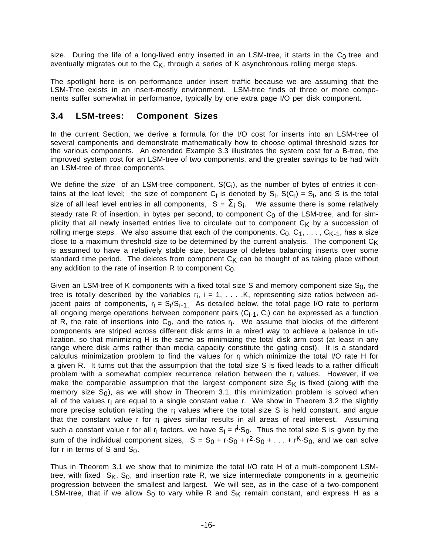size. During the life of a long-lived entry inserted in an LSM-tree, it starts in the  $C_0$  tree and eventually migrates out to the  $C_K$ , through a series of K asynchronous rolling merge steps.

The spotlight here is on performance under insert traffic because we are assuming that the LSM-Tree exists in an insert-mostly environment. LSM-tree finds of three or more components suffer somewhat in performance, typically by one extra page I/O per disk component.

### **3.4 LSM-trees: Component Sizes**

In the current Section, we derive a formula for the I/O cost for inserts into an LSM-tree of several components and demonstrate mathematically how to choose optimal threshold sizes for the various components. An extended Example 3.3 illustrates the system cost for a B-tree, the improved system cost for an LSM-tree of two components, and the greater savings to be had with an LSM-tree of three components.

We define the size of an LSM-tree component, S(C<sub>i</sub>), as the number of bytes of entries it contains at the leaf level; the size of component  $C_i$  is denoted by  $S_i$ ,  $S(C_i)$  =  $S_i$ , and S is the total size of all leaf level entries in all components,  $|S| = \sum_i |S_i|$ . We assume there is some relatively steady rate R of insertion, in bytes per second, to component  $C_0$  of the LSM-tree, and for simplicity that all newly inserted entries live to circulate out to component  $C_K$  by a succession of rolling merge steps. We also assume that each of the components,  $C_0$ ,  $C_1$ , ...,  $C_{K-1}$ , has a size close to a maximum threshold size to be determined by the current analysis. The component  $C_K$ is assumed to have a relatively stable size, because of deletes balancing inserts over some standard time period. The deletes from component  $C_K$  can be thought of as taking place without any addition to the rate of insertion R to component  $C_0$ .

Given an LSM-tree of K components with a fixed total size S and memory component size  $S_0$ , the tree is totally described by the variables  $r_i$ , i = 1,  $\dots$  ,K, representing size ratios between adjacent pairs of components,  $r_i = S_i/S_{i-1}$ , As detailed below, the total page I/O rate to perform all ongoing merge operations between component pairs (C<sub>i-1</sub>, C<sub>i</sub>) can be expressed as a function of R, the rate of insertions into  $C_0$ , and the ratios  $r_i$ . We assume that blocks of the different components are striped across different disk arms in a mixed way to achieve a balance in utilization, so that minimizing H is the same as minimizing the total disk arm cost (at least in any range where disk arms rather than media capacity constitute the gating cost). It is a standard calculus minimization problem to find the values for  $r_i$  which minimize the total I/O rate H for a given R. It turns out that the assumption that the total size S is fixed leads to a rather difficult problem with a somewhat complex recurrence relation between the r<sub>i</sub> values. However, if we make the comparable assumption that the largest component size  $S_K$  is fixed (along with the memory size  $S_0$ ), as we will show in Theorem 3.1, this minimization problem is solved when all of the values r<sub>i</sub> are equal to a single constant value r. We show in Theorem 3.2 the slightly more precise solution relating the  $r_i$  values where the total size S is held constant, and argue that the constant value r for r<sub>i</sub> gives similar results in all areas of real interest. Assuming such a constant value r for all r<sub>i</sub> factors, we have S<sub>i</sub> = r<sup>i.</sup>S<sub>0</sub>. Thus the total size S is given by the sum of the individual component sizes,  $S = S_0 + rS_0 + r^2S_0 + ... + r^{K}S_0$ , and we can solve for r in terms of S and  $S_0$ .

Thus in Theorem 3.1 we show that to minimize the total I/O rate H of a multi-component LSMtree, with fixed  $S_K$ ,  $S_0$ , and insertion rate R, we size intermediate components in a geometric progression between the smallest and largest. We will see, as in the case of a two-component LSM-tree, that if we allow S<sub>0</sub> to vary while R and S<sub>K</sub> remain constant, and express H as a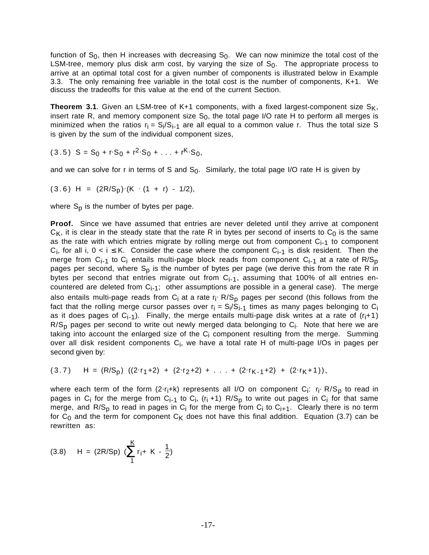function of  $S_0$ , then H increases with decreasing  $S_0$ . We can now minimize the total cost of the LSM-tree, memory plus disk arm cost, by varying the size of  $S_0$ . The appropriate process to arrive at an optimal total cost for a given number of components is illustrated below in Example 3.3. The only remaining free variable in the total cost is the number of components, K+1. We discuss the tradeoffs for this value at the end of the current Section.

**Theorem 3.1.** Given an LSM-tree of K+1 components, with a fixed largest-component size S<sub>K</sub>, insert rate R, and memory component size  $S_0$ , the total page I/O rate H to perform all merges is minimized when the ratios  $r_i = S_i/S_{i-1}$  are all equal to a common value r. Thus the total size S is given by the sum of the individual component sizes,

 $(3.5)$  S = S<sub>0</sub> + r S<sub>0</sub> + r<sup>2</sup> S<sub>0</sub> + . . . + r<sup>K</sup> S<sub>0</sub>,

and we can solve for r in terms of S and  $S_0$ . Similarly, the total page I/O rate H is given by

 $(3.6)$  H =  $(2R/S_p)$   $(K \cdot (1 + r) - 1/2)$ ,

where  $S_p$  is the number of bytes per page.

**Proof.** Since we have assumed that entries are never deleted until they arrive at component  $C_K$ , it is clear in the steady state that the rate R in bytes per second of inserts to  $C_0$  is the same as the rate with which entries migrate by rolling merge out from component  $C_{i-1}$  to component  $C_i$ , for all i,  $0 < i \leq K$ . Consider the case where the component  $C_{i-1}$  is disk resident. Then the merge from C<sub>i-1</sub> to C<sub>i</sub> entails multi-page block reads from component C<sub>i-1</sub> at a rate of R/S<sub>p</sub> pages per second, where  $S_p$  is the number of bytes per page (we derive this from the rate R in bytes per second that entries migrate out from  $C_{i-1}$ , assuming that 100% of all entries encountered are deleted from  $C_{i-1}$ ; other assumptions are possible in a general case). The merge also entails multi-page reads from C<sub>i</sub> at a rate r<sub>i</sub>· R/S<sub>p</sub> pages per second (this follows from the fact that the rolling merge cursor passes over  $r_i = S_i/S_{i-1}$  times as many pages belonging to  $C_i$ as it does pages of  $C_{i-1}$ ). Finally, the merge entails multi-page disk writes at a rate of  $(r_i+1)$ R/S<sub>p</sub> pages per second to write out newly merged data belonging to C<sub>i</sub>. Note that here we are taking into account the enlarged size of the C<sub>i</sub> component resulting from the merge. Summing over all disk resident components C<sub>i</sub>, we have a total rate H of multi-page I/Os in pages per second given by:

$$
(3.7) \quad H = (R/S_p) \ ((2 \cdot r_1 + 2) + (2 \cdot r_2 + 2) + \ldots + (2 \cdot r_{K-1} + 2) + (2 \cdot r_{K} + 1)),
$$

where each term of the form (2·r<sub>i</sub>+k) represents all I/O on component C<sub>i</sub>: r<sub>i</sub>· R/S<sub>p</sub> to read in pages in C<sub>i</sub> for the merge from C<sub>i-1</sub> to C<sub>i</sub>, (r<sub>i</sub> +1) R/S<sub>p</sub> to write out pages in C<sub>i</sub> for that same merge, and R/S<sub>p</sub> to read in pages in C<sub>i</sub> for the merge from C<sub>i</sub> to C<sub>i+1</sub>. Clearly there is no term for  $C_0$  and the term for component  $C_K$  does not have this final addition. Equation (3.7) can be rewritten as:

(3.8) 
$$
H = (2R/Sp) \left(\sum_{1}^{K} r_i + K - \frac{1}{2}\right)
$$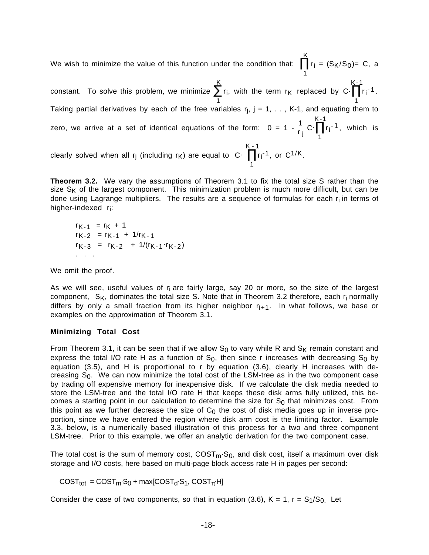We wish to minimize the value of this function under the condition that:  $\prod_{}^{\text{K}}$ 1 r<sub>i</sub> = (S<sub>K</sub>/S<sub>0</sub>)= C, a

constant. To solve this problem, we minimize  $\sum_{}^{\text{K}}$ 1 1  $r_i$ , with the term  $r_K$  replaced by C  $\prod^{K-1}$ r<sub>i</sub>-1. Taking partial derivatives by each of the free variables  $r_j$ ,  $j = 1, \ldots, K$ -1, and equating them to zero, we arrive at a set of identical equations of the form:  $0 = 1 - \frac{1}{r_j}C \prod_{i=1}^{r_j}$ 1 K-1 r<sub>i</sub>-1, which is clearly solved when all r<sub>j</sub> (including r<sub>K</sub>) are equal to  $\,$  C $\cdot$   $\,$   $\prod$  K-1  $r_i^{-1}$ , or  $C^{1/K}$ .

**Theorem 3.2.** We vary the assumptions of Theorem 3.1 to fix the total size S rather than the size  $S_K$  of the largest component. This minimization problem is much more difficult, but can be done using Lagrange multipliers. The results are a sequence of formulas for each r<sub>i</sub> in terms of higher-indexed ri :

1

 $r_{K-1} = r_K + 1$  $r_{K-2}$  =  $r_{K-1}$  +  $1/r_{K-1}$  $r_{K-3}$  =  $r_{K-2}$  + 1/( $r_{K-1}$  $r_{K-2}$ ) . . .

We omit the proof.

As we will see, useful values of  $r_i$  are fairly large, say 20 or more, so the size of the largest component,  $S_K$ , dominates the total size S. Note that in Theorem 3.2 therefore, each  $r_i$  normally differs by only a small fraction from its higher neighbor  $r_{i+1}$ . In what follows, we base or examples on the approximation of Theorem 3.1.

#### **Minimizing Total Cost**

From Theorem 3.1, it can be seen that if we allow  $S_0$  to vary while R and  $S_K$  remain constant and express the total I/O rate H as a function of  $S_0$ , then since r increases with decreasing  $S_0$  by equation (3.5), and H is proportional to r by equation (3.6), clearly H increases with decreasing  $S_0$ . We can now minimize the total cost of the LSM-tree as in the two component case by trading off expensive memory for inexpensive disk. If we calculate the disk media needed to store the LSM-tree and the total I/O rate H that keeps these disk arms fully utilized, this becomes a starting point in our calculation to determine the size for  $S_0$  that minimizes cost. From this point as we further decrease the size of  $C_0$  the cost of disk media goes up in inverse proportion, since we have entered the region where disk arm cost is the limiting factor. Example 3.3, below, is a numerically based illustration of this process for a two and three component LSM-tree. Prior to this example, we offer an analytic derivation for the two component case.

The total cost is the sum of memory cost,  $\text{COST}_{\textsf{m}}\text{-}\text{S}_0$ , and disk cost, itself a maximum over disk storage and I/O costs, here based on multi-page block access rate H in pages per second:

 $\text{COST}_{\text{tot}} = \text{COST}_{\text{m}} \cdot \text{S}_0 + \text{max}[\text{COST}_\text{d} \cdot \text{S}_1, \text{COST}_{\pi} \cdot \text{H}]$ 

Consider the case of two components, so that in equation (3.6),  $K = 1$ ,  $r = S_1/S_0$ . Let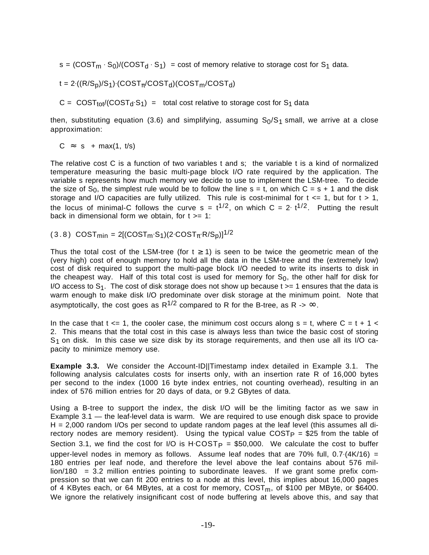$s = (COST_m \cdot S_0)/(COST_d \cdot S_1) = cost of memory relative to storage cost for S_1 data.$ 

 $t = 2 \cdot ((R/S_p)/S_1) \cdot (COST_{\pi}/COST_d)(COST_{\pi}/COST_d)$ 

 $C = COST_{tot}/(COST_d \cdot S_1) =$  total cost relative to storage cost for  $S_1$  data

then, substituting equation (3.6) and simplifying, assuming  $S_0/S_1$  small, we arrive at a close approximation:

 $C \approx s + \text{max}(1, t/s)$ 

The relative cost C is a function of two variables t and s; the variable t is a kind of normalized temperature measuring the basic multi-page block I/O rate required by the application. The variable s represents how much memory we decide to use to implement the LSM-tree. To decide the size of  $S_0$ , the simplest rule would be to follow the line  $s = t$ , on which  $C = s + 1$  and the disk storage and I/O capacities are fully utilized. This rule is cost-minimal for  $t \leq 1$ , but for  $t > 1$ , the locus of minimal-C follows the curve  $s = t^{1/2}$ , on which  $C = 2 \cdot t^{1/2}$ . Putting the result back in dimensional form we obtain, for  $t \geq 1$ :

(3.8)  $\text{COST}_{\text{min}} = 2[(\text{COST}_{\text{m}} \cdot \text{S}_1)(2 \cdot \text{COST}_{\pi} \cdot \text{R/S}_{\text{p}})]^{1/2}$ 

Thus the total cost of the LSM-tree (for  $t \ge 1$ ) is seen to be twice the geometric mean of the (very high) cost of enough memory to hold all the data in the LSM-tree and the (extremely low) cost of disk required to support the multi-page block I/O needed to write its inserts to disk in the cheapest way. Half of this total cost is used for memory for  $S_0$ , the other half for disk for I/O access to  $S_1$ . The cost of disk storage does not show up because t  $>= 1$  ensures that the data is warm enough to make disk I/O predominate over disk storage at the minimum point. Note that asymptotically, the cost goes as  $R^{1/2}$  compared to R for the B-tree, as R ->  $\infty$ .

In the case that  $t \leq 1$ , the cooler case, the minimum cost occurs along  $s = t$ , where  $C = t + 1 <$ 2. This means that the total cost in this case is always less than twice the basic cost of storing S1 on disk. In this case we size disk by its storage requirements, and then use all its I/O capacity to minimize memory use.

**Example 3.3.** We consider the Account-ID||Timestamp index detailed in Example 3.1. The following analysis calculates costs for inserts only, with an insertion rate R of 16,000 bytes per second to the index (1000 16 byte index entries, not counting overhead), resulting in an index of 576 million entries for 20 days of data, or 9.2 GBytes of data.

Using a B-tree to support the index, the disk I/O will be the limiting factor as we saw in Example 3.1 — the leaf-level data is warm. We are required to use enough disk space to provide H = 2,000 random I/Os per second to update random pages at the leaf level (this assumes all directory nodes are memory resident). Using the typical value COST<sub>P</sub> = \$25 from the table of Section 3.1, we find the cost for I/O is  $H \cdot COSTP = $50,000$ . We calculate the cost to buffer upper-level nodes in memory as follows. Assume leaf nodes that are 70% full, 0.7 (4K/16) = 180 entries per leaf node, and therefore the level above the leaf contains about 576 mil- $\text{lion}/180 = 3.2$  million entries pointing to subordinate leaves. If we grant some prefix compression so that we can fit 200 entries to a node at this level, this implies about 16,000 pages of 4 KBytes each, or 64 MBytes, at a cost for memory,  $\text{COST}_{m}$ , of \$100 per MByte, or \$6400. We ignore the relatively insignificant cost of node buffering at levels above this, and say that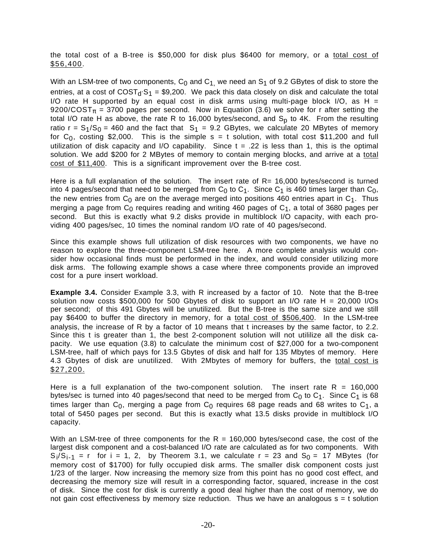the total cost of a B-tree is \$50,000 for disk plus \$6400 for memory, or a total cost of \$56,400.

With an LSM-tree of two components,  $C_0$  and  $C_1$ , we need an  $S_1$  of 9.2 GBytes of disk to store the entries, at a cost of  $\text{COST}_{d} \text{:}S_1 = $9,200$ . We pack this data closely on disk and calculate the total I/O rate H supported by an equal cost in disk arms using multi-page block I/O, as H = 9200/COST $\pi$  = 3700 pages per second. Now in Equation (3.6) we solve for r after setting the total I/O rate H as above, the rate R to 16,000 bytes/second, and  $S_p$  to 4K. From the resulting ratio r =  $S_1/S_0$  = 460 and the fact that  $S_1$  = 9.2 GBytes, we calculate 20 MBytes of memory for  $C_0$ , costing \$2,000. This is the simple  $s = t$  solution, with total cost \$11,200 and full utilization of disk capacity and I/O capability. Since t = .22 is less than 1, this is the optimal solution. We add \$200 for 2 MBytes of memory to contain merging blocks, and arrive at a total cost of \$11,400. This is a significant improvement over the B-tree cost.

Here is a full explanation of the solution. The insert rate of  $R= 16,000$  bytes/second is turned into 4 pages/second that need to be merged from  $C_0$  to  $C_1$ . Since  $C_1$  is 460 times larger than  $C_0$ , the new entries from  $C_0$  are on the average merged into positions 460 entries apart in  $C_1$ . Thus merging a page from  $C_0$  requires reading and writing 460 pages of  $C_1$ , a total of 3680 pages per second. But this is exactly what 9.2 disks provide in multiblock I/O capacity, with each providing 400 pages/sec, 10 times the nominal random I/O rate of 40 pages/second.

Since this example shows full utilization of disk resources with two components, we have no reason to explore the three-component LSM-tree here. A more complete analysis would consider how occasional finds must be performed in the index, and would consider utilizing more disk arms. The following example shows a case where three components provide an improved cost for a pure insert workload.

**Example 3.4.** Consider Example 3.3, with R increased by a factor of 10. Note that the B-tree solution now costs \$500,000 for 500 Gbytes of disk to support an I/O rate H = 20,000 I/Os per second; of this 491 Gbytes will be unutilized. But the B-tree is the same size and we still pay \$6400 to buffer the directory in memory, for a total cost of \$506,400. In the LSM-tree analysis, the increase of R by a factor of 10 means that t increases by the same factor, to 2.2. Since this t is greater than 1, the best 2-component solution will not utililize all the disk capacity. We use equation (3.8) to calculate the minimum cost of \$27,000 for a two-component LSM-tree, half of which pays for 13.5 Gbytes of disk and half for 135 Mbytes of memory. Here 4.3 Gbytes of disk are unutilized. With 2Mbytes of memory for buffers, the total cost is \$27,200.

Here is a full explanation of the two-component solution. The insert rate  $R = 160,000$ bytes/sec is turned into 40 pages/second that need to be merged from  $C_0$  to  $C_1$ . Since  $C_1$  is 68 times larger than  $C_0$ , merging a page from  $C_0$  requires 68 page reads and 68 writes to  $C_1$ , a total of 5450 pages per second. But this is exactly what 13.5 disks provide in multiblock I/O capacity.

With an LSM-tree of three components for the  $R = 160,000$  bytes/second case, the cost of the largest disk component and a cost-balanced I/O rate are calculated as for two components. With  $S_i/S_{i-1}$  = r for i = 1, 2, by Theorem 3.1, we calculate r = 23 and  $S_0$  = 17 MBytes (for memory cost of \$1700) for fully occupied disk arms. The smaller disk component costs just 1/23 of the larger. Now increasing the memory size from this point has no good cost effect, and decreasing the memory size will result in a corresponding factor, squared, increase in the cost of disk. Since the cost for disk is currently a good deal higher than the cost of memory, we do not gain cost effectiveness by memory size reduction. Thus we have an analogous  $s = t$  solution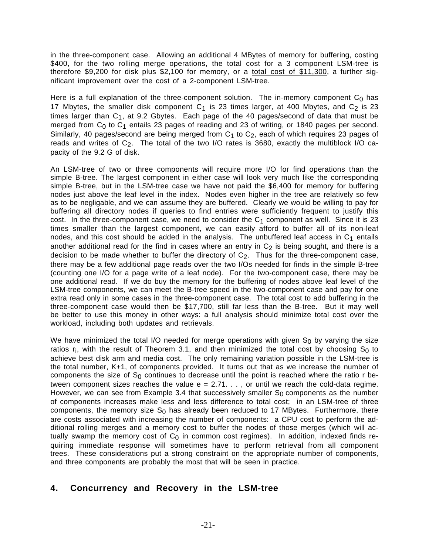in the three-component case. Allowing an additional 4 MBytes of memory for buffering, costing \$400, for the two rolling merge operations, the total cost for a 3 component LSM-tree is therefore \$9,200 for disk plus \$2,100 for memory, or a total cost of \$11,300, a further significant improvement over the cost of a 2-component LSM-tree.

Here is a full explanation of the three-component solution. The in-memory component  $C_0$  has 17 Mbytes, the smaller disk component  $C_1$  is 23 times larger, at 400 Mbytes, and  $C_2$  is 23 times larger than  $C_1$ , at 9.2 Gbytes. Each page of the 40 pages/second of data that must be merged from  $C_0$  to  $C_1$  entails 23 pages of reading and 23 of writing, or 1840 pages per second. Similarly, 40 pages/second are being merged from  $C_1$  to  $C_2$ , each of which requires 23 pages of reads and writes of  $C_2$ . The total of the two I/O rates is 3680, exactly the multiblock I/O capacity of the 9.2 G of disk.

An LSM-tree of two or three components will require more I/O for find operations than the simple B-tree. The largest component in either case will look very much like the corresponding simple B-tree, but in the LSM-tree case we have not paid the \$6,400 for memory for buffering nodes just above the leaf level in the index. Nodes even higher in the tree are relatively so few as to be negligable, and we can assume they are buffered. Clearly we would be willing to pay for buffering all directory nodes if queries to find entries were sufficiently frequent to justify this cost. In the three-component case, we need to consider the  $C_1$  component as well. Since it is 23 times smaller than the largest component, we can easily afford to buffer all of its non-leaf nodes, and this cost should be added in the analysis. The unbuffered leaf access in  $C_1$  entails another additional read for the find in cases where an entry in  $C_2$  is being sought, and there is a decision to be made whether to buffer the directory of  $C_2$ . Thus for the three-component case, there may be a few additional page reads over the two I/Os needed for finds in the simple B-tree (counting one I/O for a page write of a leaf node). For the two-component case, there may be one additional read. If we do buy the memory for the buffering of nodes above leaf level of the LSM-tree components, we can meet the B-tree speed in the two-component case and pay for one extra read only in some cases in the three-component case. The total cost to add buffering in the three-component case would then be \$17,700, still far less than the B-tree. But it may well be better to use this money in other ways: a full analysis should minimize total cost over the workload, including both updates and retrievals.

We have minimized the total I/O needed for merge operations with given  $S_0$  by varying the size ratios  $r_i$ , with the result of Theorem 3.1, and then minimized the total cost by choosing  $S_0$  to achieve best disk arm and media cost. The only remaining variation possible in the LSM-tree is the total number, K+1, of components provided. It turns out that as we increase the number of components the size of  $S_0$  continues to decrease until the point is reached where the ratio r between component sizes reaches the value  $e = 2.71$ ..., or until we reach the cold-data regime. However, we can see from Example 3.4 that successively smaller  $S_0$  components as the number of components increases make less and less difference to total cost; in an LSM-tree of three components, the memory size  $S_0$  has already been reduced to 17 MBytes. Furthermore, there are costs associated with increasing the number of components: a CPU cost to perform the additional rolling merges and a memory cost to buffer the nodes of those merges (which will actually swamp the memory cost of  $C_0$  in common cost regimes). In addition, indexed finds requiring immediate response will sometimes have to perform retrieval from all component trees. These considerations put a strong constraint on the appropriate number of components, and three components are probably the most that will be seen in practice.

### **4. Concurrency and Recovery in the LSM-tree**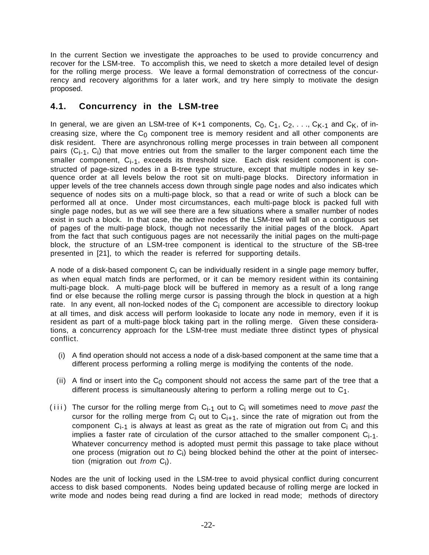In the current Section we investigate the approaches to be used to provide concurrency and recover for the LSM-tree. To accomplish this, we need to sketch a more detailed level of design for the rolling merge process. We leave a formal demonstration of correctness of the concurrency and recovery algorithms for a later work, and try here simply to motivate the design proposed.

## **4.1. Concurrency in the LSM-tree**

In general, we are given an LSM-tree of K+1 components,  $C_0$ ,  $C_1$ ,  $C_2$ , ...,  $C_{K-1}$  and  $C_K$ , of increasing size, where the  $C_0$  component tree is memory resident and all other components are disk resident. There are asynchronous rolling merge processes in train between all component pairs (C<sub>i-1</sub>, C<sub>i</sub>) that move entries out from the smaller to the larger component each time the smaller component, C<sub>i-1</sub>, exceeds its threshold size. Each disk resident component is constructed of page-sized nodes in a B-tree type structure, except that multiple nodes in key sequence order at all levels below the root sit on multi-page blocks. Directory information in upper levels of the tree channels access down through single page nodes and also indicates which sequence of nodes sits on a multi-page block, so that a read or write of such a block can be performed all at once. Under most circumstances, each multi-page block is packed full with single page nodes, but as we will see there are a few situations where a smaller number of nodes exist in such a block. In that case, the active nodes of the LSM-tree will fall on a contiguous set of pages of the multi-page block, though not necessarily the initial pages of the block. Apart from the fact that such contiguous pages are not necessarily the initial pages on the multi-page block, the structure of an LSM-tree component is identical to the structure of the SB-tree presented in [21], to which the reader is referred for supporting details.

A node of a disk-based component C<sub>i</sub> can be individually resident in a single page memory buffer, as when equal match finds are performed, or it can be memory resident within its containing multi-page block. A multi-page block will be buffered in memory as a result of a long range find or else because the rolling merge cursor is passing through the block in question at a high rate. In any event, all non-locked nodes of the C<sub>i</sub> component are accessible to directory lookup at all times, and disk access will perform lookaside to locate any node in memory, even if it is resident as part of a multi-page block taking part in the rolling merge. Given these considerations, a concurrency approach for the LSM-tree must mediate three distinct types of physical conflict.

- (i) A find operation should not access a node of a disk-based component at the same time that a different process performing a rolling merge is modifying the contents of the node.
- (ii) A find or insert into the  $C_0$  component should not access the same part of the tree that a different process is simultaneously altering to perform a rolling merge out to  $C_1$ .
- (iii) The cursor for the rolling merge from C<sub>i-1</sub> out to C<sub>i</sub> will sometimes need to *move past* the cursor for the rolling merge from  $C_i$  out to  $C_{i+1}$ , since the rate of migration out from the component C<sub>i-1</sub> is always at least as great as the rate of migration out from C<sub>i</sub> and this implies a faster rate of circulation of the cursor attached to the smaller component  $C_{i-1}$ . Whatever concurrency method is adopted must permit this passage to take place without one process (migration out to C<sub>i</sub>) being blocked behind the other at the point of intersection (migration out *from* C<sub>i</sub>).

Nodes are the unit of locking used in the LSM-tree to avoid physical conflict during concurrent access to disk based components. Nodes being updated because of rolling merge are locked in write mode and nodes being read during a find are locked in read mode; methods of directory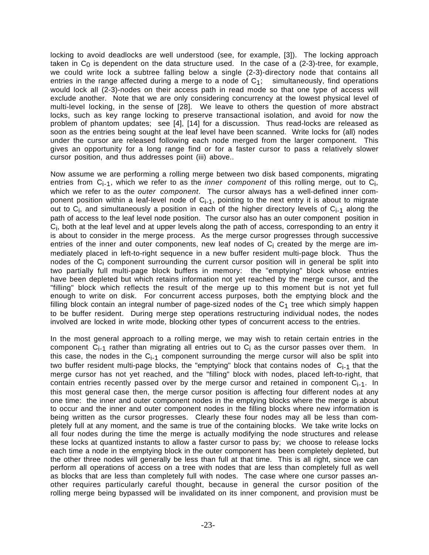locking to avoid deadlocks are well understood (see, for example, [3]). The locking approach taken in  $C_0$  is dependent on the data structure used. In the case of a (2-3)-tree, for example, we could write lock a subtree falling below a single (2-3)-directory node that contains all entries in the range affected during a merge to a node of  $C_1$ ; simultaneously, find operations would lock all (2-3)-nodes on their access path in read mode so that one type of access will exclude another. Note that we are only considering concurrency at the lowest physical level of multi-level locking, in the sense of [28]. We leave to others the question of more abstract locks, such as key range locking to preserve transactional isolation, and avoid for now the problem of phantom updates; see [4], [14] for a discussion. Thus read-locks are released as soon as the entries being sought at the leaf level have been scanned. Write locks for (all) nodes under the cursor are released following each node merged from the larger component. This gives an opportunity for a long range find or for a faster cursor to pass a relatively slower cursor position, and thus addresses point (iii) above..

Now assume we are performing a rolling merge between two disk based components, migrating entries from C<sub>i-1</sub>, which we refer to as the *inner component* of this rolling merge, out to C<sub>i</sub>, which we refer to as the outer component. The cursor always has a well-defined inner component position within a leaf-level node of  $C_{i-1}$ , pointing to the next entry it is about to migrate out to C<sub>i</sub>, and simultaneously a position in each of the higher directory levels of C<sub>i-1</sub> along the path of access to the leaf level node position. The cursor also has an outer component position in Ci , both at the leaf level and at upper levels along the path of access, corresponding to an entry it is about to consider in the merge process. As the merge cursor progresses through successive entries of the inner and outer components, new leaf nodes of C<sub>i</sub> created by the merge are immediately placed in left-to-right sequence in a new buffer resident multi-page block. Thus the nodes of the C<sub>i</sub> component surrounding the current cursor position will in general be split into two partially full multi-page block buffers in memory: the "emptying" block whose entries have been depleted but which retains information not yet reached by the merge cursor, and the "filling" block which reflects the result of the merge up to this moment but is not yet full enough to write on disk. For concurrent access purposes, both the emptying block and the filling block contain an integral number of page-sized nodes of the  $C_1$  tree which simply happen to be buffer resident. During merge step operations restructuring individual nodes, the nodes involved are locked in write mode, blocking other types of concurrent access to the entries.

In the most general approach to a rolling merge, we may wish to retain certain entries in the component C<sub>i-1</sub> rather than migrating all entries out to C<sub>i</sub> as the cursor passes over them. In this case, the nodes in the  $C_{i-1}$  component surrounding the merge cursor will also be split into two buffer resident multi-page blocks, the "emptying" block that contains nodes of  $C_{i-1}$  that the merge cursor has not yet reached, and the "filling" block with nodes, placed left-to-right, that contain entries recently passed over by the merge cursor and retained in component Ci-1. In this most general case then, the merge cursor position is affecting four different nodes at any one time: the inner and outer component nodes in the emptying blocks where the merge is about to occur and the inner and outer component nodes in the filling blocks where new information is being written as the cursor progresses. Clearly these four nodes may all be less than completely full at any moment, and the same is true of the containing blocks. We take write locks on all four nodes during the time the merge is actually modifying the node structures and release these locks at quantized instants to allow a faster cursor to pass by; we choose to release locks each time a node in the emptying block in the outer component has been completely depleted, but the other three nodes will generally be less than full at that time. This is all right, since we can perform all operations of access on a tree with nodes that are less than completely full as well as blocks that are less than completely full with nodes. The case where one cursor passes another requires particularly careful thought, because in general the cursor position of the rolling merge being bypassed will be invalidated on its inner component, and provision must be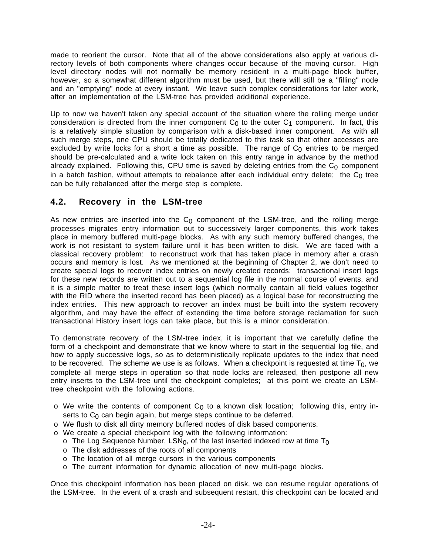made to reorient the cursor. Note that all of the above considerations also apply at various directory levels of both components where changes occur because of the moving cursor. High level directory nodes will not normally be memory resident in a multi-page block buffer, however, so a somewhat different algorithm must be used, but there will still be a "filling" node and an "emptying" node at every instant. We leave such complex considerations for later work, after an implementation of the LSM-tree has provided additional experience.

Up to now we haven't taken any special account of the situation where the rolling merge under consideration is directed from the inner component  $C_0$  to the outer  $C_1$  component. In fact, this is a relatively simple situation by comparison with a disk-based inner component. As with all such merge steps, one CPU should be totally dedicated to this task so that other accesses are excluded by write locks for a short a time as possible. The range of  $C_0$  entries to be merged should be pre-calculated and a write lock taken on this entry range in advance by the method already explained. Following this, CPU time is saved by deleting entries from the  $C_0$  component in a batch fashion, without attempts to rebalance after each individual entry delete; the  $C_0$  tree can be fully rebalanced after the merge step is complete.

### **4.2. Recovery in the LSM-tree**

As new entries are inserted into the  $C_0$  component of the LSM-tree, and the rolling merge processes migrates entry information out to successively larger components, this work takes place in memory buffered multi-page blocks. As with any such memory buffered changes, the work is not resistant to system failure until it has been written to disk. We are faced with a classical recovery problem: to reconstruct work that has taken place in memory after a crash occurs and memory is lost. As we mentioned at the beginning of Chapter 2, we don't need to create special logs to recover index entries on newly created records: transactional insert logs for these new records are written out to a sequential log file in the normal course of events, and it is a simple matter to treat these insert logs (which normally contain all field values together with the RID where the inserted record has been placed) as a logical base for reconstructing the index entries. This new approach to recover an index must be built into the system recovery algorithm, and may have the effect of extending the time before storage reclamation for such transactional History insert logs can take place, but this is a minor consideration.

To demonstrate recovery of the LSM-tree index, it is important that we carefully define the form of a checkpoint and demonstrate that we know where to start in the sequential log file, and how to apply successive logs, so as to deterministically replicate updates to the index that need to be recovered. The scheme we use is as follows. When a checkpoint is requested at time  $T_0$ , we complete all merge steps in operation so that node locks are released, then postpone all new entry inserts to the LSM-tree until the checkpoint completes; at this point we create an LSMtree checkpoint with the following actions.

- o We write the contents of component  $C_0$  to a known disk location; following this, entry inserts to  $C_0$  can begin again, but merge steps continue to be deferred.
- o We flush to disk all dirty memory buffered nodes of disk based components.
- o We create a special checkpoint log with the following information:
	- o The Log Sequence Number, LSN<sub>0</sub>, of the last inserted indexed row at time  $T_0$
	- o The disk addresses of the roots of all components
	- o The location of all merge cursors in the various components
	- o The current information for dynamic allocation of new multi-page blocks.

Once this checkpoint information has been placed on disk, we can resume regular operations of the LSM-tree. In the event of a crash and subsequent restart, this checkpoint can be located and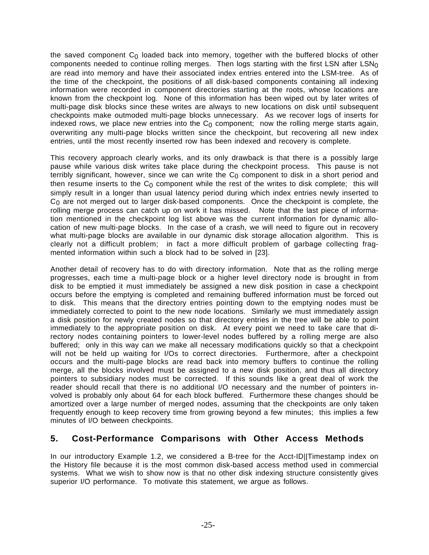the saved component  $C_0$  loaded back into memory, together with the buffered blocks of other components needed to continue rolling merges. Then logs starting with the first LSN after  $LSN<sub>0</sub>$ are read into memory and have their associated index entries entered into the LSM-tree. As of the time of the checkpoint, the positions of all disk-based components containing all indexing information were recorded in component directories starting at the roots, whose locations are known from the checkpoint log. None of this information has been wiped out by later writes of multi-page disk blocks since these writes are always to new locations on disk until subsequent checkpoints make outmoded multi-page blocks unnecessary. As we recover logs of inserts for indexed rows, we place new entries into the  $C_0$  component; now the rolling merge starts again, overwriting any multi-page blocks written since the checkpoint, but recovering all new index entries, until the most recently inserted row has been indexed and recovery is complete.

This recovery approach clearly works, and its only drawback is that there is a possibly large pause while various disk writes take place during the checkpoint process. This pause is not terribly significant, however, since we can write the  $C_0$  component to disk in a short period and then resume inserts to the  $C_0$  component while the rest of the writes to disk complete; this will simply result in a longer than usual latency period during which index entries newly inserted to  $C_0$  are not merged out to larger disk-based components. Once the checkpoint is complete, the rolling merge process can catch up on work it has missed. Note that the last piece of information mentioned in the checkpoint log list above was the current information for dynamic allocation of new multi-page blocks. In the case of a crash, we will need to figure out in recovery what multi-page blocks are available in our dynamic disk storage allocation algorithm. This is clearly not a difficult problem; in fact a more difficult problem of garbage collecting fragmented information within such a block had to be solved in [23].

Another detail of recovery has to do with directory information. Note that as the rolling merge progresses, each time a multi-page block or a higher level directory node is brought in from disk to be emptied it must immediately be assigned a new disk position in case a checkpoint occurs before the emptying is completed and remaining buffered information must be forced out to disk. This means that the directory entries pointing down to the emptying nodes must be immediately corrected to point to the new node locations. Similarly we must immediately assign a disk position for newly created nodes so that directory entries in the tree will be able to point immediately to the appropriate position on disk. At every point we need to take care that directory nodes containing pointers to lower-level nodes buffered by a rolling merge are also buffered; only in this way can we make all necessary modifications quickly so that a checkpoint will not be held up waiting for I/Os to correct directories. Furthermore, after a checkpoint occurs and the multi-page blocks are read back into memory buffers to continue the rolling merge, all the blocks involved must be assigned to a new disk position, and thus all directory pointers to subsidiary nodes must be corrected. If this sounds like a great deal of work the reader should recall that there is no additional I/O necessary and the number of pointers involved is probably only about 64 for each block buffered. Furthermore these changes should be amortized over a large number of merged nodes, assuming that the checkpoints are only taken frequently enough to keep recovery time from growing beyond a few minutes; this implies a few minutes of I/O between checkpoints.

## **5. Cost-Performance Comparisons with Other Access Methods**

In our introductory Example 1.2, we considered a B-tree for the Acct-ID||Timestamp index on the History file because it is the most common disk-based access method used in commercial systems. What we wish to show now is that no other disk indexing structure consistently gives superior I/O performance. To motivate this statement, we argue as follows.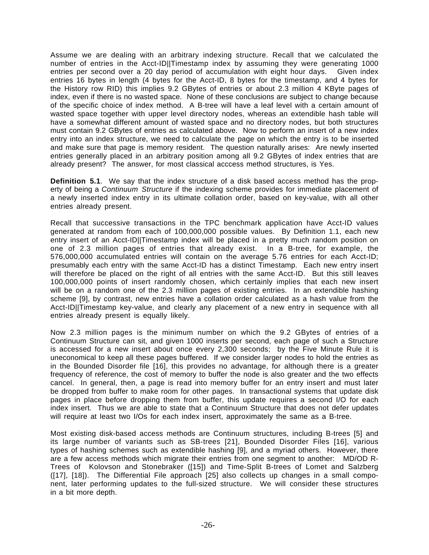Assume we are dealing with an arbitrary indexing structure. Recall that we calculated the number of entries in the Acct-ID||Timestamp index by assuming they were generating 1000 entries per second over a 20 day period of accumulation with eight hour days. Given index entries 16 bytes in length (4 bytes for the Acct-ID, 8 bytes for the timestamp, and 4 bytes for the History row RID) this implies 9.2 GBytes of entries or about 2.3 million 4 KByte pages of index, even if there is no wasted space. None of these conclusions are subject to change because of the specific choice of index method. A B-tree will have a leaf level with a certain amount of wasted space together with upper level directory nodes, whereas an extendible hash table will have a somewhat different amount of wasted space and no directory nodes, but both structures must contain 9.2 GBytes of entries as calculated above. Now to perform an insert of a new index entry into an index structure, we need to calculate the page on which the entry is to be inserted and make sure that page is memory resident. The question naturally arises: Are newly inserted entries generally placed in an arbitrary position among all 9.2 GBytes of index entries that are already present? The answer, for most classical acccess method structures, is Yes.

**Definition 5.1**. We say that the index structure of a disk based access method has the property of being a Continuum Structure if the indexing scheme provides for immediate placement of a newly inserted index entry in its ultimate collation order, based on key-value, with all other entries already present.

Recall that successive transactions in the TPC benchmark application have Acct-ID values generated at random from each of 100,000,000 possible values. By Definition 1.1, each new entry insert of an Acct-ID||Timestamp index will be placed in a pretty much random position on one of 2.3 million pages of entries that already exist. In a B-tree, for example, the 576,000,000 accumulated entries will contain on the average 5.76 entries for each Acct-ID; presumably each entry with the same Acct-ID has a distinct Timestamp. Each new entry insert will therefore be placed on the right of all entries with the same Acct-ID. But this still leaves 100,000,000 points of insert randomly chosen, which certainly implies that each new insert will be on a random one of the 2.3 million pages of existing entries. In an extendible hashing scheme [9], by contrast, new entries have a collation order calculated as a hash value from the Acct-ID||Timestamp key-value, and clearly any placement of a new entry in sequence with all entries already present is equally likely.

Now 2.3 million pages is the minimum number on which the 9.2 GBytes of entries of a Continuum Structure can sit, and given 1000 inserts per second, each page of such a Structure is accessed for a new insert about once every 2,300 seconds; by the Five Minute Rule it is uneconomical to keep all these pages buffered. If we consider larger nodes to hold the entries as in the Bounded Disorder file [16], this provides no advantage, for although there is a greater frequency of reference, the cost of memory to buffer the node is also greater and the two effects cancel. In general, then, a page is read into memory buffer for an entry insert and must later be dropped from buffer to make room for other pages. In transactional systems that update disk pages in place before dropping them from buffer, this update requires a second I/O for each index insert. Thus we are able to state that a Continuum Structure that does not defer updates will require at least two I/Os for each index insert, approximately the same as a B-tree.

Most existing disk-based access methods are Continuum structures, including B-trees [5] and its large number of variants such as SB-trees [21], Bounded Disorder Files [16], various types of hashing schemes such as extendible hashing [9], and a myriad others. However, there are a few access methods which migrate their entries from one segment to another: MD/OD R-Trees of Kolovson and Stonebraker ([15]) and Time-Split B-trees of Lomet and Salzberg  $(17)$ ,  $[18]$ ). The Differential File approach  $[25]$  also collects up changes in a small component, later performing updates to the full-sized structure. We will consider these structures in a bit more depth.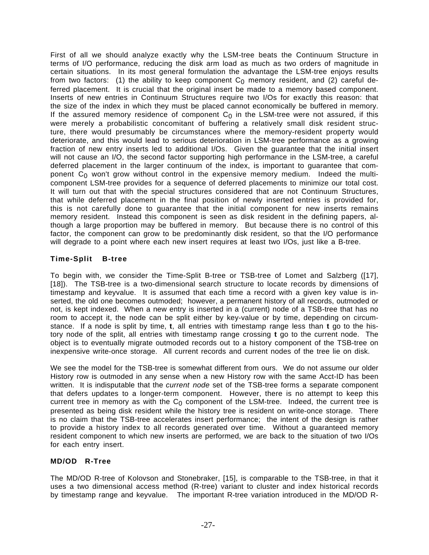First of all we should analyze exactly why the LSM-tree beats the Continuum Structure in terms of I/O performance, reducing the disk arm load as much as two orders of magnitude in certain situations. In its most general formulation the advantage the LSM-tree enjoys results from two factors: (1) the ability to keep component  $C_0$  memory resident, and (2) careful deferred placement. It is crucial that the original insert be made to a memory based component. Inserts of new entries in Continuum Structures require two I/Os for exactly this reason: that the size of the index in which they must be placed cannot economically be buffered in memory. If the assured memory residence of component  $C_0$  in the LSM-tree were not assured, if this were merely a probabilistic concomitant of buffering a relatively small disk resident structure, there would presumably be circumstances where the memory-resident property would deteriorate, and this would lead to serious deterioration in LSM-tree performance as a growing fraction of new entry inserts led to additional I/Os. Given the guarantee that the initial insert will not cause an I/O, the second factor supporting high performance in the LSM-tree, a careful deferred placement in the larger continuum of the index, is important to guarantee that component  $C_0$  won't grow without control in the expensive memory medium. Indeed the multicomponent LSM-tree provides for a sequence of deferred placements to minimize our total cost. It will turn out that with the special structures considered that are not Continuum Structures, that while deferred placement in the final position of newly inserted entries is provided for, this is not carefully done to guarantee that the initial component for new inserts remains memory resident. Instead this component is seen as disk resident in the defining papers, although a large proportion may be buffered in memory. But because there is no control of this factor, the component can grow to be predominantly disk resident, so that the I/O performance will degrade to a point where each new insert requires at least two I/Os, just like a B-tree.

#### **Time-Split B-tree**

To begin with, we consider the Time-Split B-tree or TSB-tree of Lomet and Salzberg ([17], [18]). The TSB-tree is a two-dimensional search structure to locate records by dimensions of timestamp and keyvalue. It is assumed that each time a record with a given key value is inserted, the old one becomes outmoded; however, a permanent history of all records, outmoded or not, is kept indexed. When a new entry is inserted in a (current) node of a TSB-tree that has no room to accept it, the node can be split either by key-value or by time, depending on circumstance. If a node is split by time, **t**, all entries with timestamp range less than **t** go to the history node of the split, all entries with timestamp range crossing **t** go to the current node. The object is to eventually migrate outmoded records out to a history component of the TSB-tree on inexpensive write-once storage. All current records and current nodes of the tree lie on disk.

We see the model for the TSB-tree is somewhat different from ours. We do not assume our older History row is outmoded in any sense when a new History row with the same Acct-ID has been written. It is indisputable that the *current node* set of the TSB-tree forms a separate component that defers updates to a longer-term component. However, there is no attempt to keep this current tree in memory as with the  $C_0$  component of the LSM-tree. Indeed, the current tree is presented as being disk resident while the history tree is resident on write-once storage. There is no claim that the TSB-tree accelerates insert performance; the intent of the design is rather to provide a history index to all records generated over time. Without a guaranteed memory resident component to which new inserts are performed, we are back to the situation of two I/Os for each entry insert.

#### **MD/OD R-Tree**

The MD/OD R-tree of Kolovson and Stonebraker, [15], is comparable to the TSB-tree, in that it uses a two dimensional access method (R-tree) variant to cluster and index historical records by timestamp range and keyvalue. The important R-tree variation introduced in the MD/OD R-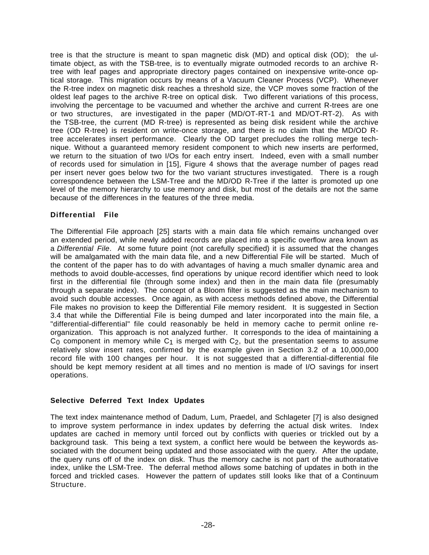tree is that the structure is meant to span magnetic disk (MD) and optical disk (OD); the ultimate object, as with the TSB-tree, is to eventually migrate outmoded records to an archive Rtree with leaf pages and appropriate directory pages contained on inexpensive write-once optical storage. This migration occurs by means of a Vacuum Cleaner Process (VCP). Whenever the R-tree index on magnetic disk reaches a threshold size, the VCP moves some fraction of the oldest leaf pages to the archive R-tree on optical disk. Two different variations of this process, involving the percentage to be vacuumed and whether the archive and current R-trees are one or two structures, are investigated in the paper (MD/OT-RT-1 and MD/OT-RT-2). As with the TSB-tree, the current (MD R-tree) is represented as being disk resident while the archive tree (OD R-tree) is resident on write-once storage, and there is no claim that the MD/OD Rtree accelerates insert performance. Clearly the OD target precludes the rolling merge technique. Without a guaranteed memory resident component to which new inserts are performed, we return to the situation of two I/Os for each entry insert. Indeed, even with a small number of records used for simulation in [15], Figure 4 shows that the average number of pages read per insert never goes below two for the two variant structures investigated. There is a rough correspondence between the LSM-Tree and the MD/OD R-Tree if the latter is promoted up one level of the memory hierarchy to use memory and disk, but most of the details are not the same because of the differences in the features of the three media.

### **Differential File**

The Differential File approach [25] starts with a main data file which remains unchanged over an extended period, while newly added records are placed into a specific overflow area known as a Differential File. At some future point (not carefully specified) it is assumed that the changes will be amalgamated with the main data file, and a new Differential File will be started. Much of the content of the paper has to do with advantages of having a much smaller dynamic area and methods to avoid double-accesses, find operations by unique record identifier which need to look first in the differential file (through some index) and then in the main data file (presumably through a separate index). The concept of a Bloom filter is suggested as the main mechanism to avoid such double accesses. Once again, as with access methods defined above, the Differential File makes no provision to keep the Differential File memory resident. It is suggested in Section 3.4 that while the Differential File is being dumped and later incorporated into the main file, a "differential-differential" file could reasonably be held in memory cache to permit online reorganization. This approach is not analyzed further. It corresponds to the idea of maintaining a  $C_0$  component in memory while  $C_1$  is merged with  $C_2$ , but the presentation seems to assume relatively slow insert rates, confirmed by the example given in Section 3.2 of a 10,000,000 record file with 100 changes per hour. It is not suggested that a differential-differential file should be kept memory resident at all times and no mention is made of I/O savings for insert operations.

#### **Selective Deferred Text Index Updates**

The text index maintenance method of Dadum, Lum, Praedel, and Schlageter [7] is also designed to improve system performance in index updates by deferring the actual disk writes. Index updates are cached in memory until forced out by conflicts with queries or trickled out by a background task. This being a text system, a conflict here would be between the keywords associated with the document being updated and those associated with the query. After the update, the query runs off of the index on disk. Thus the memory cache is not part of the authoratative index, unlike the LSM-Tree. The deferral method allows some batching of updates in both in the forced and trickled cases. However the pattern of updates still looks like that of a Continuum Structure.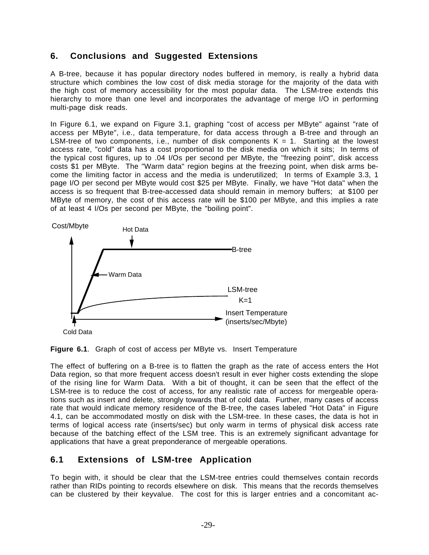## **6. Conclusions and Suggested Extensions**

A B-tree, because it has popular directory nodes buffered in memory, is really a hybrid data structure which combines the low cost of disk media storage for the majority of the data with the high cost of memory accessibility for the most popular data. The LSM-tree extends this hierarchy to more than one level and incorporates the advantage of merge I/O in performing multi-page disk reads.

In Figure 6.1, we expand on Figure 3.1, graphing "cost of access per MByte" against "rate of access per MByte", i.e., data temperature, for data access through a B-tree and through an LSM-tree of two components, i.e., number of disk components  $K = 1$ . Starting at the lowest access rate, "cold" data has a cost proportional to the disk media on which it sits; In terms of the typical cost figures, up to .04 I/Os per second per MByte, the "freezing point", disk access costs \$1 per MByte. The "Warm data" region begins at the freezing point, when disk arms become the limiting factor in access and the media is underutilized; In terms of Example 3.3, 1 page I/O per second per MByte would cost \$25 per MByte. Finally, we have "Hot data" when the access is so frequent that B-tree-accessed data should remain in memory buffers; at \$100 per MByte of memory, the cost of this access rate will be \$100 per MByte, and this implies a rate of at least 4 I/Os per second per MByte, the "boiling point".



**Figure 6.1**. Graph of cost of access per MByte vs. Insert Temperature

The effect of buffering on a B-tree is to flatten the graph as the rate of access enters the Hot Data region, so that more frequent access doesn't result in ever higher costs extending the slope of the rising line for Warm Data. With a bit of thought, it can be seen that the effect of the LSM-tree is to reduce the cost of access, for any realistic rate of access for mergeable operations such as insert and delete, strongly towards that of cold data. Further, many cases of access rate that would indicate memory residence of the B-tree, the cases labeled "Hot Data" in Figure 4.1, can be accommodated mostly on disk with the LSM-tree. In these cases, the data is hot in terms of logical access rate (inserts/sec) but only warm in terms of physical disk access rate because of the batching effect of the LSM tree. This is an extremely significant advantage for applications that have a great preponderance of mergeable operations.

## **6.1 Extensions of LSM-tree Application**

To begin with, it should be clear that the LSM-tree entries could themselves contain records rather than RIDs pointing to records elsewhere on disk. This means that the records themselves can be clustered by their keyvalue. The cost for this is larger entries and a concomitant ac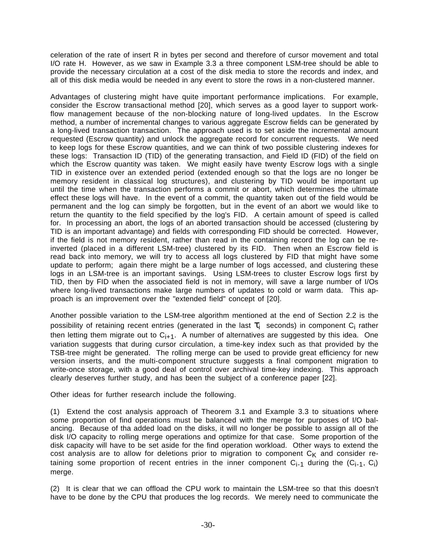celeration of the rate of insert R in bytes per second and therefore of cursor movement and total I/O rate H. However, as we saw in Example 3.3 a three component LSM-tree should be able to provide the necessary circulation at a cost of the disk media to store the records and index, and all of this disk media would be needed in any event to store the rows in a non-clustered manner.

Advantages of clustering might have quite important performance implications. For example, consider the Escrow transactional method [20], which serves as a good layer to support workflow management because of the non-blocking nature of long-lived updates. In the Escrow method, a number of incremental changes to various aggregate Escrow fields can be generated by a long-lived transaction transaction. The approach used is to set aside the incremental amount requested (Escrow quantity) and unlock the aggregate record for concurrent requests. We need to keep logs for these Escrow quantities, and we can think of two possible clustering indexes for these logs: Transaction ID (TID) of the generating transaction, and Field ID (FID) of the field on which the Escrow quantity was taken. We might easily have twenty Escrow logs with a single TID in existence over an extended period (extended enough so that the logs are no longer be memory resident in classical log structures), and clustering by TID would be important up until the time when the transaction performs a commit or abort, which determines the ultimate effect these logs will have. In the event of a commit, the quantity taken out of the field would be permanent and the log can simply be forgotten, but in the event of an abort we would like to return the quantity to the field specified by the log's FID. A certain amount of speed is called for. In processing an abort, the logs of an aborted transaction should be accessed (clustering by TID is an important advantage) and fields with corresponding FID should be corrected. However, if the field is not memory resident, rather than read in the containing record the log can be reinverted (placed in a different LSM-tree) clustered by its FID. Then when an Escrow field is read back into memory, we will try to access all logs clustered by FID that might have some update to perform; again there might be a large number of logs accessed, and clustering these logs in an LSM-tree is an important savings. Using LSM-trees to cluster Escrow logs first by TID, then by FID when the associated field is not in memory, will save a large number of I/Os where long-lived transactions make large numbers of updates to cold or warm data. This approach is an improvement over the "extended field" concept of [20].

Another possible variation to the LSM-tree algorithm mentioned at the end of Section 2.2 is the possibility of retaining recent entries (generated in the last  $\tau_{\mathsf{i}}$  seconds) in component  $\mathsf{C}_{\mathsf{i}}$  rather then letting them migrate out to  $C_{i+1}$ . A number of alternatives are suggested by this idea. One variation suggests that during cursor circulation, a time-key index such as that provided by the TSB-tree might be generated. The rolling merge can be used to provide great efficiency for new version inserts, and the multi-component structure suggests a final component migration to write-once storage, with a good deal of control over archival time-key indexing. This approach clearly deserves further study, and has been the subject of a conference paper [22].

Other ideas for further research include the following.

(1) Extend the cost analysis approach of Theorem 3.1 and Example 3.3 to situations where some proportion of find operations must be balanced with the merge for purposes of I/O balancing. Because of tha added load on the disks, it will no longer be possible to assign all of the disk I/O capacity to rolling merge operations and optimize for that case. Some proportion of the disk capacity will have to be set aside for the find operation workload. Other ways to extend the cost analysis are to allow for deletions prior to migration to component  $C_K$  and consider retaining some proportion of recent entries in the inner component C<sub>i-1</sub> during the (C<sub>i-1</sub>, C<sub>i</sub>) merge.

(2) It is clear that we can offload the CPU work to maintain the LSM-tree so that this doesn't have to be done by the CPU that produces the log records. We merely need to communicate the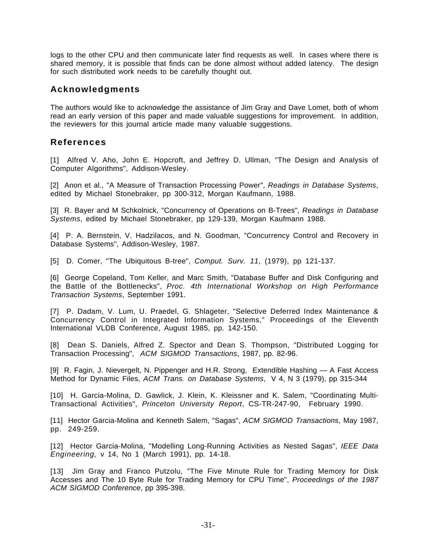logs to the other CPU and then communicate later find requests as well. In cases where there is shared memory, it is possible that finds can be done almost without added latency. The design for such distributed work needs to be carefully thought out.

## **Acknowledgments**

The authors would like to acknowledge the assistance of Jim Gray and Dave Lomet, both of whom read an early version of this paper and made valuable suggestions for improvement. In addition, the reviewers for this journal article made many valuable suggestions.

## **References**

[1] Alfred V. Aho, John E. Hopcroft, and Jeffrey D. Ullman, "The Design and Analysis of Computer Algorithms", Addison-Wesley.

[2] Anon et al., "A Measure of Transaction Processing Power", Readings in Database Systems, edited by Michael Stonebraker, pp 300-312, Morgan Kaufmann, 1988.

[3] R. Bayer and M Schkolnick, "Concurrency of Operations on B-Trees", Readings in Database Systems, edited by Michael Stonebraker, pp 129-139, Morgan Kaufmann 1988.

[4] P. A. Bernstein, V. Hadzilacos, and N. Goodman, "Concurrency Control and Recovery in Database Systems", Addison-Wesley, 1987.

[5] D. Comer, "The Ubiquitous B-tree", Comput. Surv. 11, (1979), pp 121-137.

[6] George Copeland, Tom Keller, and Marc Smith, "Database Buffer and Disk Configuring and the Battle of the Bottlenecks", Proc. 4th International Workshop on High Performance Transaction Systems, September 1991.

[7] P. Dadam, V. Lum, U. Praedel, G. Shlageter, "Selective Deferred Index Maintenance & Concurrency Control in Integrated Information Systems," Proceedings of the Eleventh International VLDB Conference, August 1985, pp. 142-150.

[8] Dean S. Daniels, Alfred Z. Spector and Dean S. Thompson, "Distributed Logging for Transaction Processing", ACM SIGMOD Transactions, 1987, pp. 82-96.

[9] R. Fagin, J. Nievergelt, N. Pippenger and H.R. Strong, Extendible Hashing — A Fast Access Method for Dynamic Files, ACM Trans. on Database Systems, V 4, N 3 (1979), pp 315-344

[10] H. Garcia-Molina, D. Gawlick, J. Klein, K. Kleissner and K. Salem, "Coordinating Multi-Transactional Activities", Princeton University Report, CS-TR-247-90, February 1990.

[11] Hector Garcia-Molina and Kenneth Salem, "Sagas", ACM SIGMOD Transactions, May 1987, pp. 249-259.

[12] Hector Garcia-Molina, "Modelling Long-Running Activities as Nested Sagas", IEEE Data Engineering, v 14, No 1 (March 1991), pp. 14-18.

[13] Jim Gray and Franco Putzolu, "The Five Minute Rule for Trading Memory for Disk Accesses and The 10 Byte Rule for Trading Memory for CPU Time", Proceedings of the 1987 ACM SIGMOD Conference, pp 395-398.